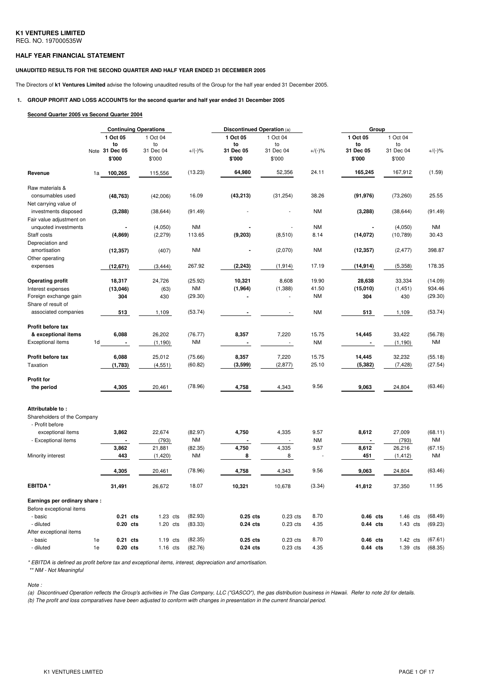#### **HALF YEAR FINANCIAL STATEMENT**

#### **UNAUDITED RESULTS FOR THE SECOND QUARTER AND HALF YEAR ENDED 31 DECEMBER 2005**

The Directors of **k1 Ventures Limited** advise the following unaudited results of the Group for the half year ended 31 December 2005.

# **1. GROUP PROFIT AND LOSS ACCOUNTS for the second quarter and half year ended 31 December 2005**

#### **Second Quarter 2005 vs Second Quarter 2004**

|                              |                |            | <b>Continuing Operations</b> |           | Discontinued Operation (a) |           | Group     |            |            |           |
|------------------------------|----------------|------------|------------------------------|-----------|----------------------------|-----------|-----------|------------|------------|-----------|
|                              | 1 Oct 05       |            | 1 Oct 04                     |           | 1 Oct 05                   | 1 Oct 04  |           | 1 Oct 05   | 1 Oct 04   |           |
|                              | to             |            | to                           |           | to                         | to        |           | to         | to         |           |
|                              | Note 31 Dec 05 |            | 31 Dec 04                    | $+/(-)\%$ | 31 Dec 05                  | 31 Dec 04 | $+/(-)\%$ | 31 Dec 05  | 31 Dec 04  | $+/(-)$ % |
|                              | \$'000         |            | \$'000                       |           | \$'000                     | \$'000    |           | \$'000     | \$'000     |           |
| Revenue                      | 1a             | 100,265    | 115,556                      | (13.23)   | 64,980                     | 52,356    | 24.11     | 165,245    | 167,912    | (1.59)    |
| Raw materials &              |                |            |                              |           |                            |           |           |            |            |           |
| consumables used             |                | (48, 763)  | (42,006)                     | 16.09     | (43, 213)                  | (31, 254) | 38.26     | (91, 976)  | (73, 260)  | 25.55     |
| Net carrying value of        |                |            |                              |           |                            |           |           |            |            |           |
| investments disposed         |                | (3, 288)   | (38, 644)                    | (91.49)   |                            |           | <b>NM</b> | (3, 288)   | (38, 644)  | (91.49)   |
| Fair value adjustment on     |                |            |                              |           |                            |           |           |            |            |           |
| unquoted investments         |                |            | (4,050)                      | <b>NM</b> |                            |           | <b>NM</b> |            | (4,050)    | <b>NM</b> |
| Staff costs                  |                | (4,869)    | (2, 279)                     | 113.65    | (9,203)                    | (8, 510)  | 8.14      | (14, 072)  | (10, 789)  | 30.43     |
| Depreciation and             |                |            |                              |           |                            |           |           |            |            |           |
| amortisation                 |                | (12, 357)  | (407)                        | <b>NM</b> |                            | (2,070)   | <b>NM</b> | (12, 357)  | (2, 477)   | 398.87    |
| Other operating              |                |            |                              |           |                            |           |           |            |            |           |
| expenses                     |                | (12, 671)  | (3, 444)                     | 267.92    | (2, 243)                   | (1, 914)  | 17.19     | (14,914)   | (5,358)    | 178.35    |
|                              |                |            |                              |           |                            |           |           |            |            |           |
| <b>Operating profit</b>      |                | 18,317     | 24,726                       | (25.92)   | 10,321                     | 8,608     | 19.90     | 28,638     | 33,334     | (14.09)   |
| Interest expenses            |                | (13, 046)  | (63)                         | <b>NM</b> | (1,964)                    | (1,388)   | 41.50     | (15,010)   | (1, 451)   | 934.46    |
| Foreign exchange gain        |                | 304        | 430                          | (29.30)   |                            |           | <b>NM</b> | 304        | 430        | (29.30)   |
| Share of result of           |                |            |                              |           |                            |           |           |            |            |           |
|                              |                |            |                              |           |                            |           |           |            |            | (53.74)   |
| associated companies         |                | 513        | 1,109                        | (53.74)   |                            |           | <b>NM</b> | 513        | 1,109      |           |
| Profit before tax            |                |            |                              |           |                            |           |           |            |            |           |
| & exceptional items          |                | 6,088      | 26,202                       | (76.77)   | 8,357                      | 7,220     | 15.75     | 14,445     | 33,422     | (56.78)   |
| <b>Exceptional items</b>     | 1d             |            | (1, 190)                     | ΝM        |                            |           | <b>NM</b> |            | (1, 190)   | NM        |
| Profit before tax            |                | 6,088      | 25,012                       | (75.66)   | 8,357                      | 7,220     | 15.75     | 14,445     | 32,232     | (55.18)   |
| Taxation                     |                |            |                              | (60.82)   | (3,599)                    | (2, 877)  | 25.10     | (5, 382)   | (7, 428)   | (27.54)   |
|                              |                | (1,783)    | (4, 551)                     |           |                            |           |           |            |            |           |
| <b>Profit for</b>            |                |            |                              |           |                            |           |           |            |            |           |
| the period                   |                | 4,305      | 20,461                       | (78.96)   | 4,758                      | 4,343     | 9.56      | 9,063      | 24,804     | (63.46)   |
|                              |                |            |                              |           |                            |           |           |            |            |           |
| Attributable to:             |                |            |                              |           |                            |           |           |            |            |           |
| Shareholders of the Company  |                |            |                              |           |                            |           |           |            |            |           |
| - Profit before              |                |            |                              |           |                            |           |           |            |            |           |
| exceptional items            |                | 3,862      | 22,674                       | (82.97)   | 4,750                      | 4,335     | 9.57      | 8,612      | 27,009     | (68.11)   |
| - Exceptional items          |                |            | (793)                        | ΝM        |                            |           | <b>NM</b> |            | (793)      | NM        |
|                              |                | 3,862      | 21,881                       | (82.35)   | 4,750                      | 4,335     | 9.57      | 8,612      | 26,216     | (67.15)   |
| Minority interest            |                | 443        | (1,420)                      | ΝM        | 8                          | 8         |           | 451        | (1, 412)   | <b>NM</b> |
|                              |                | 4,305      | 20,461                       | (78.96)   | 4,758                      | 4,343     | 9.56      | 9,063      | 24,804     | (63.46)   |
|                              |                |            |                              |           |                            |           |           |            |            |           |
| <b>EBITDA*</b>               |                | 31,491     | 26,672                       | 18.07     | 10,321                     | 10,678    | (3.34)    | 41,812     | 37,350     | 11.95     |
| Earnings per ordinary share: |                |            |                              |           |                            |           |           |            |            |           |
| Before exceptional items     |                |            |                              |           |                            |           |           |            |            |           |
| - basic                      |                | 0.21 cts   | $1.23$ cts                   | (82.93)   | $0.25$ cts                 | 0.23 cts  | 8.70      | $0.46$ cts | $1.46$ cts | (68.49)   |
| - diluted                    |                | $0.20$ cts | $1.20$ cts                   | (83.33)   | $0.24$ cts                 | 0.23 cts  | 4.35      | $0.44$ cts | $1.43$ cts | (69.23)   |
| After exceptional items      |                |            |                              |           |                            |           |           |            |            |           |
| - basic                      | 1e             | $0.21$ cts | $1.19$ cts                   | (82.35)   | $0.25$ cts                 | 0.23 cts  | 8.70      | $0.46$ cts | 1.42 cts   | (67.61)   |
| - diluted                    | 1e             | $0.20$ cts | $1.16$ cts                   | (82.76)   | $0.24$ cts                 | 0.23 cts  | 4.35      | $0.44$ cts | 1.39 cts   | (68.35)   |

*\* EBITDA is defined as profit before tax and exceptional items, interest, depreciation and amortisation.*

*\*\* NM - Not Meaningful*

*Note :*

(a) Discontinued Operation reflects the Group's activities in The Gas Company, LLC ("GASCO"), the gas distribution business in Hawaii. Refer to note 2d for details.

(b) The profit and loss comparatives have been adjusted to conform with changes in presentation in the current financial period.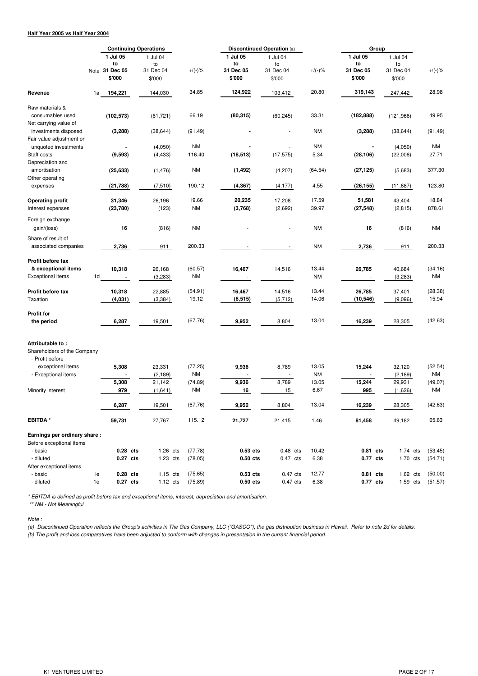### **Half Year 2005 vs Half Year 2004**

|                                                 |                | <b>Continuing Operations</b> |  |                     |                    | <b>Discontinued Operation (a)</b> |                     | Group         |                                    |  |                     |                    |
|-------------------------------------------------|----------------|------------------------------|--|---------------------|--------------------|-----------------------------------|---------------------|---------------|------------------------------------|--|---------------------|--------------------|
|                                                 |                | 1 Jul 05<br>to               |  | 1 Jul 04<br>to      |                    | 1 Jul 05<br>to                    | 1 Jul 04<br>to      |               | 1 Jul 05<br>to                     |  | 1 Jul 04<br>to      |                    |
|                                                 |                | Note 31 Dec 05<br>\$'000     |  | 31 Dec 04<br>\$'000 | $+/(-)\%$          | 31 Dec 05<br>\$'000               | 31 Dec 04<br>\$'000 | $+/(-)$ %     | 31 Dec 05<br>\$'000                |  | 31 Dec 04<br>\$'000 | $+/(-)\%$          |
| Revenue                                         | 1a             | 194,221                      |  | 144,030             | 34.85              | 124,922                           | 103,412             | 20.80         | 319,143                            |  | 247,442             | 28.98              |
| Raw materials &                                 |                |                              |  |                     |                    |                                   |                     |               |                                    |  |                     |                    |
| consumables used                                |                | (102, 573)                   |  | (61, 721)           | 66.19              | (80, 315)                         | (60, 245)           | 33.31         | (182, 888)                         |  | (121, 966)          | 49.95              |
| Net carrying value of                           |                |                              |  |                     |                    |                                   |                     |               |                                    |  |                     |                    |
| investments disposed                            |                | (3, 288)                     |  | (38, 644)           | (91.49)            |                                   |                     | <b>NM</b>     | (3, 288)                           |  | (38, 644)           | (91.49)            |
| Fair value adjustment on                        |                |                              |  |                     | <b>NM</b>          |                                   |                     | <b>NM</b>     |                                    |  |                     | NM                 |
| unquoted investments<br>Staff costs             |                | (9, 593)                     |  | (4,050)<br>(4, 433) | 116.40             | (18, 513)                         | (17, 575)           | 5.34          | (28, 106)                          |  | (4,050)<br>(22,008) | 27.71              |
| Depreciation and                                |                |                              |  |                     |                    |                                   |                     |               |                                    |  |                     |                    |
| amortisation                                    |                | (25, 633)                    |  | (1, 476)            | <b>NM</b>          | (1, 492)                          | (4,207)             | (64.54)       | (27, 125)                          |  | (5,683)             | 377.30             |
| Other operating                                 |                |                              |  |                     |                    |                                   |                     |               |                                    |  |                     |                    |
| expenses                                        |                | (21, 788)                    |  | (7, 510)            | 190.12             | (4, 367)                          | (4, 177)            | 4.55          | (26, 155)                          |  | (11, 687)           | 123.80             |
|                                                 |                |                              |  |                     | 19.66              | 20,235                            |                     | 17.59         | 51,581                             |  |                     | 18.84              |
| <b>Operating profit</b><br>Interest expenses    |                | 31,346<br>(23,780)           |  | 26,196<br>(123)     | <b>NM</b>          | (3,768)                           | 17,208<br>(2,692)   | 39.97         | (27, 548)                          |  | 43,404<br>(2, 815)  | 878.61             |
|                                                 |                |                              |  |                     |                    |                                   |                     |               |                                    |  |                     |                    |
| Foreign exchange                                |                |                              |  |                     |                    |                                   |                     |               |                                    |  |                     |                    |
| gain/(loss)                                     |                | 16                           |  | (816)               | <b>NM</b>          |                                   |                     | <b>NM</b>     | 16                                 |  | (816)               | <b>NM</b>          |
| Share of result of                              |                |                              |  |                     |                    |                                   |                     |               |                                    |  |                     |                    |
| associated companies                            |                | 2,736                        |  | 911                 | 200.33             |                                   |                     | <b>NM</b>     | 2,736                              |  | 911                 | 200.33             |
|                                                 |                |                              |  |                     |                    |                                   |                     |               |                                    |  |                     |                    |
| Profit before tax<br>& exceptional items        |                |                              |  |                     | (60.57)            |                                   |                     | 13.44         |                                    |  |                     |                    |
| Exceptional items                               | 1 <sub>d</sub> | 10,318<br>$\blacksquare$     |  | 26,168<br>(3,283)   | <b>NM</b>          | 16,467                            | 14,516              | <b>NM</b>     | 26,785<br>$\overline{\phantom{a}}$ |  | 40,684<br>(3,283)   | (34.16)<br>NM      |
|                                                 |                |                              |  |                     |                    |                                   |                     |               |                                    |  |                     |                    |
| Profit before tax                               |                | 10,318                       |  | 22,885              | (54.91)            | 16,467                            | 14,516              | 13.44         | 26,785                             |  | 37,401              | (28.38)            |
| Taxation                                        |                | (4,031)                      |  | (3, 384)            | 19.12              | (6, 515)                          | (5,712)             | 14.06         | (10, 546)                          |  | (9,096)             | 15.94              |
|                                                 |                |                              |  |                     |                    |                                   |                     |               |                                    |  |                     |                    |
| <b>Profit for</b>                               |                |                              |  |                     |                    |                                   |                     |               |                                    |  |                     |                    |
| the period                                      |                | 6,287                        |  | 19,501              | (67.76)            | 9,952                             | 8,804               | 13.04         | 16,239                             |  | 28,305              | (42.63)            |
|                                                 |                |                              |  |                     |                    |                                   |                     |               |                                    |  |                     |                    |
| Attributable to:<br>Shareholders of the Company |                |                              |  |                     |                    |                                   |                     |               |                                    |  |                     |                    |
| - Profit before                                 |                |                              |  |                     |                    |                                   |                     |               |                                    |  |                     |                    |
| exceptional items                               |                | 5,308                        |  | 23,331              | (77.25)            | 9,936                             | 8,789               | 13.05         | 15,244                             |  | 32,120              | (52.54)            |
| - Exceptional items                             |                |                              |  | (2, 189)            | NM                 |                                   |                     | <b>NM</b>     |                                    |  | (2, 189)            | <b>NM</b>          |
|                                                 |                | 5,308                        |  | 21,142              | (74.89)            | 9,936                             | 8,789               | 13.05         | 15,244                             |  | 29,931              | (49.07)            |
| Minority interest                               |                | 979                          |  | (1,641)             | <b>NM</b>          | 16                                | 15                  | 6.67          | 995                                |  | (1,626)             | <b>NM</b>          |
|                                                 |                |                              |  |                     | (67.76)            |                                   |                     | 13.04         |                                    |  |                     | (42.63)            |
|                                                 |                | 6,287                        |  | 19,501              |                    | 9,952                             | 8,804               |               | 16,239                             |  | 28,305              |                    |
| <b>EBITDA*</b>                                  |                | 59,731                       |  | 27,767              | 115.12             | 21,727                            | 21,415              | 1.46          | 81,458                             |  | 49,182              | 65.63              |
| Earnings per ordinary share:                    |                |                              |  |                     |                    |                                   |                     |               |                                    |  |                     |                    |
| Before exceptional items                        |                |                              |  |                     |                    |                                   |                     |               |                                    |  |                     |                    |
| - basic                                         |                | 0.28 cts<br>0.27 cts         |  | $1.26$ cts          | (77.78)<br>(78.05) | $0.53$ cts                        | $0.48$ cts          | 10.42<br>6.38 | 0.81 cts                           |  | $1.74$ cts          | (53.45)<br>(54.71) |
| - diluted<br>After exceptional items            |                |                              |  | $1.23$ cts          |                    | 0.50 cts                          | 0.47 cts            |               | 0.77 cts                           |  | 1.70 cts            |                    |
| - basic                                         | 1e             | 0.28 cts                     |  | $1.15$ cts          | (75.65)            | $0.53$ cts                        | 0.47 cts            | 12.77         | 0.81 cts                           |  | $1.62$ cts          | (50.00)            |
| - diluted                                       | 1e             | 0.27 cts                     |  | $1.12$ cts          | (75.89)            | $0.50$ cts                        | 0.47 cts            | 6.38          | 0.77 cts                           |  | $1.59$ cts          | (51.57)            |
|                                                 |                |                              |  |                     |                    |                                   |                     |               |                                    |  |                     |                    |

*\* EBITDA is defined as profit before tax and exceptional items, interest, depreciation and amortisation.*

*\*\* NM - Not Meaningful*

#### *Note :*

(b) The profit and loss comparatives have been adjusted to conform with changes in presentation in the current financial period. (a) Discontinued Operation reflects the Group's activities in The Gas Company, LLC ("GASCO"), the gas distribution business in Hawaii. Refer to note 2d for details.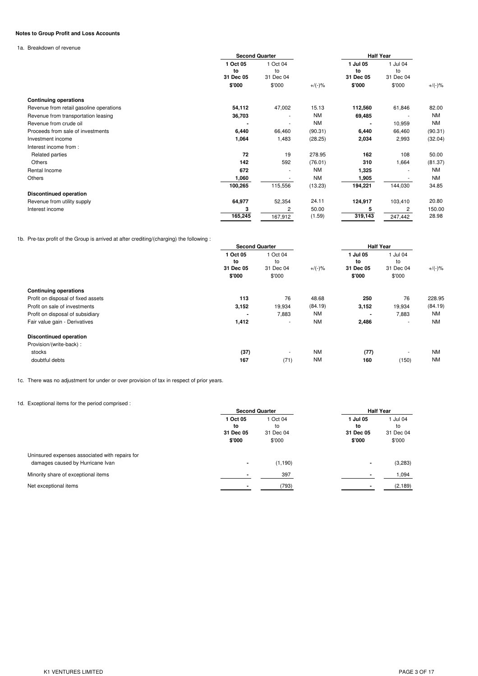### **Notes to Group Profit and Loss Accounts**

1a. Breakdown of revenue

|                                         | <b>Second Quarter</b>       |                             |           | <b>Half Year</b>            |                             |           |
|-----------------------------------------|-----------------------------|-----------------------------|-----------|-----------------------------|-----------------------------|-----------|
|                                         | 1 Oct 05<br>to<br>31 Dec 05 | 1 Oct 04<br>to<br>31 Dec 04 |           | 1 Jul 05<br>to<br>31 Dec 05 | 1 Jul 04<br>to<br>31 Dec 04 |           |
|                                         | \$'000                      | \$'000                      | $+/(-)$ % | \$'000                      | \$'000                      | $+/(-)$ % |
| <b>Continuing operations</b>            |                             |                             |           |                             |                             |           |
| Revenue from retail gasoline operations | 54,112                      | 47,002                      | 15.13     | 112,560                     | 61,846                      | 82.00     |
| Revenue from transportation leasing     | 36,703                      |                             | <b>NM</b> | 69,485                      |                             | <b>NM</b> |
| Revenue from crude oil                  |                             | ٠                           | <b>NM</b> |                             | 10,959                      | NM        |
| Proceeds from sale of investments       | 6,440                       | 66,460                      | (90.31)   | 6,440                       | 66,460                      | (90.31)   |
| Investment income                       | 1,064                       | 1,483                       | (28.25)   | 2,034                       | 2,993                       | (32.04)   |
| Interest income from:                   |                             |                             |           |                             |                             |           |
| Related parties                         | 72                          | 19                          | 278.95    | 162                         | 108                         | 50.00     |
| <b>Others</b>                           | 142                         | 592                         | (76.01)   | 310                         | 1,664                       | (81.37)   |
| Rental Income                           | 672                         | ٠                           | <b>NM</b> | 1,325                       | $\blacksquare$              | <b>NM</b> |
| Others                                  | 1,060                       |                             | <b>NM</b> | 1,905                       |                             | <b>NM</b> |
|                                         | 100,265                     | 115,556                     | (13.23)   | 194,221                     | 144,030                     | 34.85     |
| <b>Discontinued operation</b>           |                             |                             |           |                             |                             |           |
| Revenue from utility supply             | 64,977                      | 52,354                      | 24.11     | 124,917                     | 103,410                     | 20.80     |
| Interest income                         | 3                           | 2                           | 50.00     | 5                           | 2                           | 150.00    |
|                                         | 165,245                     | 167,912                     | (1.59)    | 319,143                     | 247,442                     | 28.98     |

1b. Pre-tax profit of the Group is arrived at after crediting/(charging) the following :

|                                    | <b>Second Quarter</b> |                     |           | <b>Half Year</b>    |                          |           |
|------------------------------------|-----------------------|---------------------|-----------|---------------------|--------------------------|-----------|
|                                    | 1 Oct 05<br>to        | 1 Oct 04<br>to      |           | 1 Jul 05<br>to      | 1 Jul 04<br>to           |           |
|                                    | 31 Dec 05<br>\$'000   | 31 Dec 04<br>\$'000 | $+/(-)$ % | 31 Dec 05<br>\$'000 | 31 Dec 04<br>\$'000      | $+/(-)$ % |
| <b>Continuing operations</b>       |                       |                     |           |                     |                          |           |
| Profit on disposal of fixed assets | 113                   | 76                  | 48.68     | 250                 | 76                       | 228.95    |
| Profit on sale of investments      | 3,152                 | 19,934              | (84.19)   | 3,152               | 19,934                   | (84.19)   |
| Profit on disposal of subsidiary   |                       | 7,883               | <b>NM</b> |                     | 7,883                    | <b>NM</b> |
| Fair value gain - Derivatives      | 1,412                 | ٠                   | <b>NM</b> | 2,486               | $\overline{\phantom{a}}$ | <b>NM</b> |
| <b>Discontinued operation</b>      |                       |                     |           |                     |                          |           |
| Provision/(write-back):            |                       |                     |           |                     |                          |           |
| stocks                             | (37)                  | ٠                   | <b>NM</b> | (77)                | $\overline{\phantom{a}}$ | <b>NM</b> |
| doubtful debts                     | 167                   | (71)                | <b>NM</b> | 160                 | (150)                    | <b>NM</b> |

1c. There was no adjustment for under or over provision of tax in respect of prior years.

## 1d. Exceptional items for the period comprised :

|                                                                                    | <b>Second Quarter</b>                 |                                       | <b>Half Year</b>                      |                                     |
|------------------------------------------------------------------------------------|---------------------------------------|---------------------------------------|---------------------------------------|-------------------------------------|
|                                                                                    | 1 Oct 05<br>to<br>31 Dec 05<br>\$'000 | 1 Oct 04<br>to<br>31 Dec 04<br>\$'000 | 1 Jul 05<br>to<br>31 Dec 05<br>\$'000 | Jul 04<br>to<br>31 Dec 04<br>\$'000 |
| Uninsured expenses associated with repairs for<br>damages caused by Hurricane Ivan | ۰                                     | (1, 190)                              | $\blacksquare$                        | (3,283)                             |
| Minority share of exceptional items                                                |                                       | 397                                   |                                       | 1,094                               |
| Net exceptional items                                                              |                                       | (793)                                 | $\overline{\phantom{0}}$              | (2, 189)                            |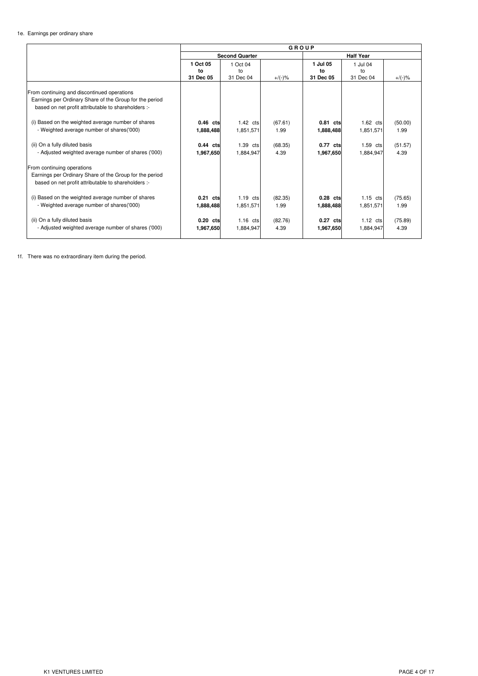## 1e. Earnings per ordinary share

|                                                                                                                                                               |                             |                             | GROUP           |                             |                             |                 |
|---------------------------------------------------------------------------------------------------------------------------------------------------------------|-----------------------------|-----------------------------|-----------------|-----------------------------|-----------------------------|-----------------|
|                                                                                                                                                               |                             | <b>Second Quarter</b>       |                 |                             | <b>Half Year</b>            |                 |
|                                                                                                                                                               | 1 Oct 05<br>to<br>31 Dec 05 | 1 Oct 04<br>to<br>31 Dec 04 | $+/(-) \%$      | 1 Jul 05<br>to<br>31 Dec 05 | 1 Jul 04<br>to<br>31 Dec 04 | $+/(-)$ %       |
| From continuing and discontinued operations<br>Earnings per Ordinary Share of the Group for the period<br>based on net profit attributable to shareholders :- |                             |                             |                 |                             |                             |                 |
| (i) Based on the weighted average number of shares<br>- Weighted average number of shares('000)                                                               | $0.46$ cts<br>1,888,488     | $1.42$ cts<br>1,851,571     | (67.61)<br>1.99 | 0.81 cts<br>1,888,488       | $1.62$ cts<br>1,851,571     | (50.00)<br>1.99 |
| (ii) On a fully diluted basis<br>- Adjusted weighted average number of shares ('000)                                                                          | 0.44 cts<br>1,967,650       | 1.39 cts<br>1.884.947       | (68.35)<br>4.39 | 0.77 cts<br>1,967,650       | 1.59 cts<br>1,884,947       | (51.57)<br>4.39 |
| From continuing operations<br>Earnings per Ordinary Share of the Group for the period<br>based on net profit attributable to shareholders :-                  |                             |                             |                 |                             |                             |                 |
| (i) Based on the weighted average number of shares<br>- Weighted average number of shares('000)                                                               | 0.21 cts<br>1,888,488       | $1.19$ cts<br>1,851,571     | (82.35)<br>1.99 | 0.28 cts<br>1,888,488       | $1.15$ cts<br>1,851,571     | (75.65)<br>1.99 |
| (ii) On a fully diluted basis<br>- Adjusted weighted average number of shares ('000)                                                                          | 0.20 cts<br>1,967,650       | $1.16$ cts<br>1,884,947     | (82.76)<br>4.39 | 0.27 cts<br>1,967,650       | $1.12$ cts<br>1,884,947     | (75.89)<br>4.39 |

1f. There was no extraordinary item during the period.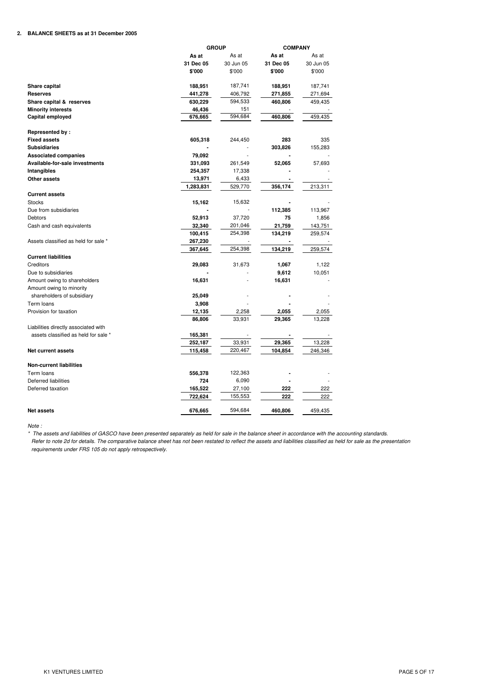### **2. BALANCE SHEETS as at 31 December 2005**

|                                      | <b>GROUP</b> |           | <b>COMPANY</b> |           |
|--------------------------------------|--------------|-----------|----------------|-----------|
|                                      | As at        | As at     | As at          | As at     |
|                                      | 31 Dec 05    | 30 Jun 05 | 31 Dec 05      | 30 Jun 05 |
|                                      | \$'000       | \$'000    | \$'000         | \$'000    |
| Share capital                        | 188,951      | 187,741   | 188,951        | 187,741   |
| <b>Reserves</b>                      | 441,278      | 406,792   | 271,855        | 271,694   |
| Share capital & reserves             | 630,229      | 594,533   | 460,806        | 459,435   |
| <b>Minority interests</b>            | 46,436       | 151       |                |           |
| Capital employed                     | 676,665      | 594,684   | 460,806        | 459,435   |
| Represented by:                      |              |           |                |           |
| <b>Fixed assets</b>                  | 605,318      | 244,450   | 283            | 335       |
| <b>Subsidiaries</b>                  |              |           | 303,826        | 155,283   |
| <b>Associated companies</b>          | 79,092       |           |                |           |
| Available-for-sale investments       | 331,093      | 261,549   | 52,065         | 57,693    |
| Intangibles                          | 254,357      | 17,338    |                |           |
| Other assets                         | 13,971       | 6,433     |                |           |
|                                      | 1,283,831    | 529,770   | 356,174        | 213,311   |
| <b>Current assets</b>                |              |           |                |           |
| <b>Stocks</b>                        | 15,162       | 15,632    |                |           |
| Due from subsidiaries                |              |           | 112,385        | 113,967   |
| <b>Debtors</b>                       | 52,913       | 37,720    | 75             | 1,856     |
| Cash and cash equivalents            | 32,340       | 201,046   | 21,759         | 143,751   |
|                                      | 100,415      | 254,398   | 134,219        | 259,574   |
| Assets classified as held for sale * | 267,230      |           |                |           |
|                                      | 367,645      | 254,398   | 134,219        | 259,574   |
| <b>Current liabilities</b>           |              |           |                |           |
| Creditors                            | 29,083       | 31,673    | 1,067          | 1,122     |
| Due to subsidiaries                  |              |           | 9,612          | 10,051    |
| Amount owing to shareholders         | 16,631       |           | 16,631         |           |
| Amount owing to minority             |              |           |                |           |
| shareholders of subsidiary           | 25,049       |           |                |           |
| Term loans                           | 3,908        |           |                |           |
| Provision for taxation               | 12,135       | 2,258     | 2,055          | 2,055     |
|                                      | 86,806       | 33,931    | 29,365         | 13,228    |
| Liabilities directly associated with |              |           |                |           |
| assets classified as held for sale * | 165,381      |           |                |           |
|                                      | 252,187      | 33,931    | 29,365         | 13,228    |
| <b>Net current assets</b>            | 115,458      | 220,467   | 104,854        | 246,346   |
| <b>Non-current liabilities</b>       |              |           |                |           |
| Term loans                           | 556,378      | 122,363   |                |           |
| Deferred liabilities                 | 724          | 6,090     |                |           |
| Deferred taxation                    | 165,522      | 27,100    | 222            | 222       |
|                                      | 722,624      | 155,553   | 222            | 222       |
| <b>Net assets</b>                    | 676,665      | 594,684   | 460,806        | 459,435   |

*Note :*

\* The assets and liabilities of GASCO have been presented separately as held for sale in the balance sheet in accordance with the accounting standards. Refer to note 2d for details. The comparative balance sheet has not been restated to reflect the assets and liabilities classified as held for sale as the presentation *requirements under FRS 105 do not apply retrospectively.*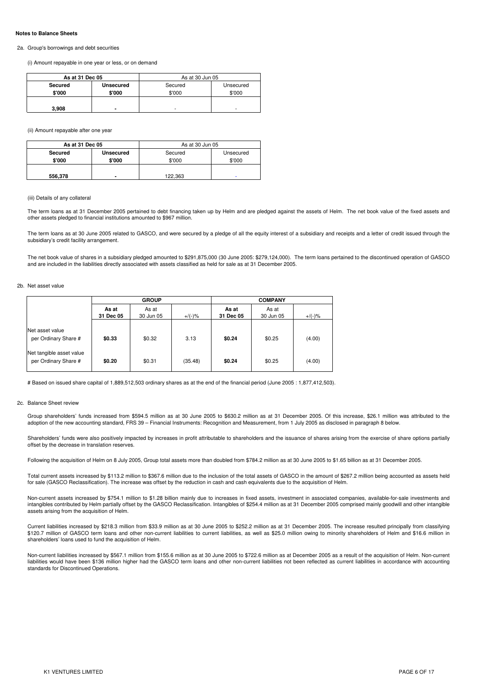#### **Notes to Balance Sheets**

#### 2a. Group's borrowings and debt securities

(i) Amount repayable in one year or less, or on demand

| As at 31 Dec 05 |                  | As at 30 Jun 05 |           |  |
|-----------------|------------------|-----------------|-----------|--|
| Secured         | <b>Unsecured</b> | Secured         | Unsecured |  |
| \$'000          | \$'000           | \$'000          | \$'000    |  |
| 3,908           | ۰                | ۰               |           |  |

(ii) Amount repayable after one year

| As at 31 Dec 05 |                  | As at 30 Jun 05 |           |  |  |
|-----------------|------------------|-----------------|-----------|--|--|
| Secured         | <b>Unsecured</b> | Secured         | Unsecured |  |  |
| \$'000          | \$'000           | \$'000          | \$'000    |  |  |
| 556,378         | ۰                | 122,363         | ۰         |  |  |

#### (iii) Details of any collateral

The term loans as at 31 December 2005 pertained to debt financing taken up by Helm and are pledged against the assets of Helm. The net book value of the fixed assets and other assets pledged to financial institutions amounted to \$967 million.

The term loans as at 30 June 2005 related to GASCO, and were secured by a pledge of all the equity interest of a subsidiary and receipts and a letter of credit issued through the subsidiary's credit facility arrangement.

The net book value of shares in a subsidiary pledged amounted to \$291,875,000 (30 June 2005: \$279,124,000). The term loans pertained to the discontinued operation of GASCO and are included in the liabilities directly associated with assets classified as held for sale as at 31 December 2005.

#### 2b. Net asset value

|                                                  | <b>GROUP</b>       |                    |           | <b>COMPANY</b>     |                    |           |  |
|--------------------------------------------------|--------------------|--------------------|-----------|--------------------|--------------------|-----------|--|
|                                                  | As at<br>31 Dec 05 | As at<br>30 Jun 05 | $+/(-)$ % | As at<br>31 Dec 05 | As at<br>30 Jun 05 | $+/(-)$ % |  |
| Net asset value<br>per Ordinary Share #          | \$0.33             | \$0.32             | 3.13      | \$0.24             | \$0.25             | (4.00)    |  |
| Net tangible asset value<br>per Ordinary Share # | \$0.20             | \$0.31             | (35.48)   | \$0.24             | \$0.25             | (4.00)    |  |

# Based on issued share capital of 1,889,512,503 ordinary shares as at the end of the financial period (June 2005 : 1,877,412,503).

#### 2c. Balance Sheet review

Group shareholders' funds increased from \$594.5 million as at 30 June 2005 to \$630.2 million as at 31 December 2005. Of this increase, \$26.1 million was attributed to the adoption of the new accounting standard, FRS 39 – Financial Instruments: Recognition and Measurement, from 1 July 2005 as disclosed in paragraph 8 below.

Shareholders' funds were also positively impacted by increases in profit attributable to shareholders and the issuance of shares arising from the exercise of share options partially offset by the decrease in translation reserves.

Following the acquisition of Helm on 8 July 2005, Group total assets more than doubled from \$784.2 million as at 30 June 2005 to \$1.65 billion as at 31 December 2005.

Total current assets increased by \$113.2 million to \$367.6 million due to the inclusion of the total assets of GASCO in the amount of \$267.2 million being accounted as assets held for sale (GASCO Reclassification). The increase was offset by the reduction in cash and cash equivalents due to the acquisition of Helm.

Non-current assets increased by \$754.1 million to \$1.28 billion mainly due to increases in fixed assets, investment in associated companies, available-for-sale investments and intangibles contributed by Helm partially offset by the GASCO Reclassification. Intangibles of \$254.4 million as at 31 December 2005 comprised mainly goodwill and other intangible assets arising from the acquisition of Helm.

Current liabilities increased by \$218.3 million from \$33.9 million as at 30 June 2005 to \$252.2 million as at 31 December 2005. The increase resulted principally from classifying \$120.7 million of GASCO term loans and other non-current liabilities to current liabilities, as well as \$25.0 million owing to minority shareholders of Helm and \$16.6 million in shareholders' loans used to fund the acquisition of Helm.

Non-current liabilities increased by \$567.1 million from \$155.6 million as at 30 June 2005 to \$722.6 million as at December 2005 as a result of the acquisition of Helm. Non-current liabilities would have been \$136 million higher had the GASCO term loans and other non-current liabilities not been reflected as current liabilities in accordance with accounting standards for Discontinued Operations.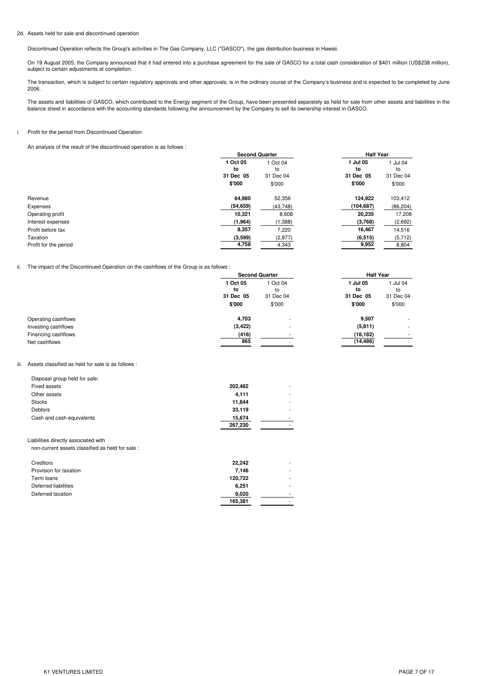#### 2d. Assets held for sale and discontinued operation

Discontinued Operation reflects the Group's activities in The Gas Company, LLC ("GASCO"), the gas distribution business in Hawaii.

On 19 August 2005, the Company announced that it had entered into a purchase agreement for the sale of GASCO for a total cash consideration of \$401 million (US\$238 million), subject to certain adjustments at completion.

The transaction, which is subject to certain regulatory approvals and other approvals, is in the ordinary course of the Company's business and is expected to be completed by June 2006.

The assets and liabilities of GASCO, which contributed to the Energy segment of the Group, have been presented separately as held for sale from other assets and liabilities in the balance sheet in accordance with the accounting standards following the announcement by the Company to sell its ownership interest in GASCO.

### i. Profit for the period from Discontinued Operation

An analysis of the result of the discontinued operation is as follows :

|                       | <b>Second Quarter</b> |           | <b>Half Year</b> |           |
|-----------------------|-----------------------|-----------|------------------|-----------|
|                       | 1 Oct 05              | 1 Oct 04  | 1 Jul 05         | Jul 04    |
|                       | to                    | to        | to               | to        |
|                       | 31 Dec 05             | 31 Dec 04 | 31 Dec 05        | 31 Dec 04 |
|                       | \$'000                | \$'000    | \$'000           | \$'000    |
| Revenue               | 64.980                | 52,356    | 124,922          | 103,412   |
| Expenses              | (54, 659)             | (43, 748) | (104, 687)       | (86, 204) |
| Operating profit      | 10,321                | 8,608     | 20,235           | 17,208    |
| Interest expenses     | (1,964)               | (1, 388)  | (3,768)          | (2,692)   |
| Profit before tax     | 8,357                 | 7,220     | 16,467           | 14,516    |
| Taxation              | (3,599)               | (2, 877)  | (6, 515)         | (5, 712)  |
| Profit for the period | 4,758                 | 4,343     | 9,952            | 8,804     |

### ii. The impact of the Discontinued Operation on the cashflows of the Group is as follows :

|                                                             | <b>Second Quarter</b>                 |                                       | <b>Half Year</b>                      |                                       |  |
|-------------------------------------------------------------|---------------------------------------|---------------------------------------|---------------------------------------|---------------------------------------|--|
|                                                             | 1 Oct 05<br>to<br>31 Dec 05<br>\$'000 | 1 Oct 04<br>to<br>31 Dec 04<br>\$'000 | 1 Jul 05<br>to<br>31 Dec 05<br>\$'000 | 1 Jul 04<br>to<br>31 Dec 04<br>\$'000 |  |
| Operating cashflows                                         | 4,703                                 |                                       | 9,507                                 | ۰                                     |  |
| Investing cashflows<br>Financing cashflows<br>Net cashflows | (3, 422)<br>(416)<br>865              |                                       | (5, 811)<br>(18, 182)<br>(14, 486)    |                                       |  |
|                                                             |                                       |                                       |                                       |                                       |  |

#### iii. Assets classified as held for sale is as follows :

| Disposal group held for sale: |         |   |
|-------------------------------|---------|---|
| Fixed assets                  | 202,482 |   |
| Other assets                  | 4.111   | ٠ |
| <b>Stocks</b>                 | 11.844  | ۰ |
| <b>Debtors</b>                | 33,119  | ٠ |
| Cash and cash equivalents     | 15.674  | ۰ |
|                               | 267,230 | ٠ |

#### Liabilities directly associated with

non-current assets classified as held for sale :

| Creditors              | 22.242  | ٠ |
|------------------------|---------|---|
| Provision for taxation | 7.146   | ٠ |
| Term loans             | 120,722 | ٠ |
| Deferred liabilities   | 6.251   | ٠ |
| Deferred taxation      | 9.020   | ٠ |
|                        | 165,381 | ٠ |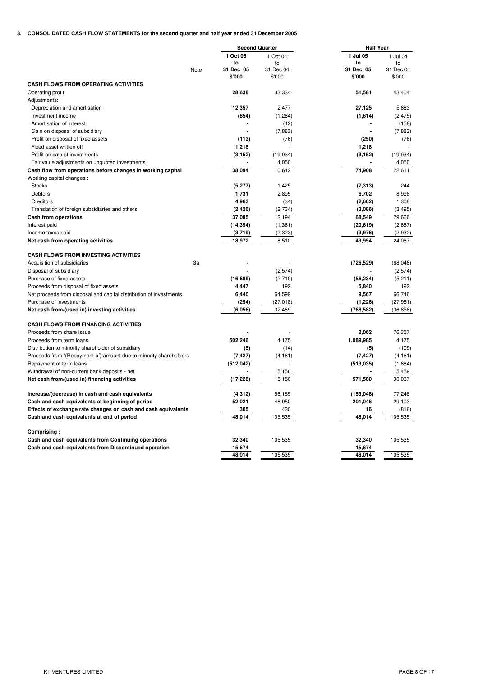## **3. CONSOLIDATED CASH FLOW STATEMENTS for the second quarter and half year ended 31 December 2005**

| 1 Oct 05<br>1 Jul 05<br>1 Jul 04<br>1 Oct 04<br>to<br>to<br>to<br>to<br>31 Dec 05<br>31 Dec 04<br>31 Dec 05<br>31 Dec 04<br>Note<br>\$'000<br>\$'000<br>\$'000<br>\$'000<br><b>CASH FLOWS FROM OPERATING ACTIVITIES</b><br>Operating profit<br>28,638<br>33,334<br>51,581<br>43,404<br>Adjustments:<br>12,357<br>2,477<br>27,125<br>5,683<br>Depreciation and amortisation<br>Investment income<br>(854)<br>(1,284)<br>(1,614)<br>(2, 475)<br>Amortisation of interest<br>(42)<br>(158)<br>Gain on disposal of subsidiary<br>(7,883)<br>(7,883)<br>Profit on disposal of fixed assets<br>(113)<br>(250)<br>(76)<br>(76)<br>1,218<br>1,218<br>Fixed asset written off<br>Profit on sale of investments<br>(3, 152)<br>(3, 152)<br>(19, 934)<br>(19, 934)<br>Fair value adjustments on unquoted investments<br>4,050<br>4,050<br>38,094<br>10,642<br>74,908<br>Cash flow from operations before changes in working capital<br>22,611<br>Working capital changes:<br><b>Stocks</b><br>(5,277)<br>1,425<br>(7, 313)<br>244<br>Debtors<br>1,731<br>2,895<br>6,702<br>8,998<br>Creditors<br>4,963<br>1,308<br>(34)<br>(2,662)<br>Translation of foreign subsidiaries and others<br>(2, 426)<br>(3,086)<br>(2,734)<br>(3, 495)<br>Cash from operations<br>37,085<br>12,194<br>68,549<br>29,666<br>Interest paid<br>(14, 394)<br>(1, 361)<br>(20, 619)<br>(2,667)<br>Income taxes paid<br>(3,719)<br>(2,323)<br>(2,932)<br>(3,976)<br>Net cash from operating activities<br>18,972<br>8,510<br>43,954<br>24,067<br><b>CASH FLOWS FROM INVESTING ACTIVITIES</b><br>3a<br>(726, 529)<br>(68, 048)<br>Acquisition of subsidiaries<br>Disposal of subsidiary<br>(2,574)<br>(2,574)<br>(16, 689)<br>(56, 234)<br>Purchase of fixed assets<br>(2,710)<br>(5,211)<br>4,447<br>Proceeds from disposal of fixed assets<br>192<br>5,840<br>192<br>Net proceeds from disposal and capital distribution of investments<br>64,599<br>9,567<br>66,746<br>6,440<br>Purchase of investments<br>(254)<br>(27, 018)<br>(1,226)<br>(27, 961)<br>Net cash from/(used in) investing activities<br>(768, 582)<br>(6,056)<br>32,489<br>(36, 856)<br><b>CASH FLOWS FROM FINANCING ACTIVITIES</b><br>Proceeds from share issue<br>2,062<br>76,357<br>Proceeds from term loans<br>502,246<br>4,175<br>1,089,985<br>4,175<br>Distribution to minority shareholder of subsidiary<br>(109)<br>(5)<br>(14)<br>(5)<br>Proceeds from /(Repayment of) amount due to minority shareholders<br>(7, 427)<br>(4, 161)<br>(7, 427)<br>(4, 161)<br>Repayment of term loans<br>(512, 042)<br>(513,035)<br>(1,684)<br>Withdrawal of non-current bank deposits - net<br>15,156<br>15,459<br>Net cash from/(used in) financing activities<br>(17, 228)<br>15,156<br>571,580<br>90,037<br>Increase/(decrease) in cash and cash equivalents<br>(4, 312)<br>(153,048)<br>77,248<br>56,155<br>52,021<br>201,046<br>29,103<br>Cash and cash equivalents at beginning of period<br>48,950<br>Effects of exchange rate changes on cash and cash equivalents<br>305<br>430<br>16<br>(816)<br>48,014<br>48,014<br>105,535<br>105,535<br>Cash and cash equivalents at end of period<br>Comprising:<br>32,340<br>105,535<br>32,340<br>105,535<br>Cash and cash equivalents from Continuing operations<br>Cash and cash equivalents from Discontinued operation<br>15,674<br>15,674<br>48,014<br>105,535<br>48,014<br>105,535 |  | <b>Second Quarter</b> |  | <b>Half Year</b> |  |  |
|----------------------------------------------------------------------------------------------------------------------------------------------------------------------------------------------------------------------------------------------------------------------------------------------------------------------------------------------------------------------------------------------------------------------------------------------------------------------------------------------------------------------------------------------------------------------------------------------------------------------------------------------------------------------------------------------------------------------------------------------------------------------------------------------------------------------------------------------------------------------------------------------------------------------------------------------------------------------------------------------------------------------------------------------------------------------------------------------------------------------------------------------------------------------------------------------------------------------------------------------------------------------------------------------------------------------------------------------------------------------------------------------------------------------------------------------------------------------------------------------------------------------------------------------------------------------------------------------------------------------------------------------------------------------------------------------------------------------------------------------------------------------------------------------------------------------------------------------------------------------------------------------------------------------------------------------------------------------------------------------------------------------------------------------------------------------------------------------------------------------------------------------------------------------------------------------------------------------------------------------------------------------------------------------------------------------------------------------------------------------------------------------------------------------------------------------------------------------------------------------------------------------------------------------------------------------------------------------------------------------------------------------------------------------------------------------------------------------------------------------------------------------------------------------------------------------------------------------------------------------------------------------------------------------------------------------------------------------------------------------------------------------------------------------------------------------------------------------------------------------------------------------------------------------------------------------------------------------------------------------------------------------------------------------------------------------------------------------------------------|--|-----------------------|--|------------------|--|--|
|                                                                                                                                                                                                                                                                                                                                                                                                                                                                                                                                                                                                                                                                                                                                                                                                                                                                                                                                                                                                                                                                                                                                                                                                                                                                                                                                                                                                                                                                                                                                                                                                                                                                                                                                                                                                                                                                                                                                                                                                                                                                                                                                                                                                                                                                                                                                                                                                                                                                                                                                                                                                                                                                                                                                                                                                                                                                                                                                                                                                                                                                                                                                                                                                                                                                                                                                                                |  |                       |  |                  |  |  |
|                                                                                                                                                                                                                                                                                                                                                                                                                                                                                                                                                                                                                                                                                                                                                                                                                                                                                                                                                                                                                                                                                                                                                                                                                                                                                                                                                                                                                                                                                                                                                                                                                                                                                                                                                                                                                                                                                                                                                                                                                                                                                                                                                                                                                                                                                                                                                                                                                                                                                                                                                                                                                                                                                                                                                                                                                                                                                                                                                                                                                                                                                                                                                                                                                                                                                                                                                                |  |                       |  |                  |  |  |
|                                                                                                                                                                                                                                                                                                                                                                                                                                                                                                                                                                                                                                                                                                                                                                                                                                                                                                                                                                                                                                                                                                                                                                                                                                                                                                                                                                                                                                                                                                                                                                                                                                                                                                                                                                                                                                                                                                                                                                                                                                                                                                                                                                                                                                                                                                                                                                                                                                                                                                                                                                                                                                                                                                                                                                                                                                                                                                                                                                                                                                                                                                                                                                                                                                                                                                                                                                |  |                       |  |                  |  |  |
|                                                                                                                                                                                                                                                                                                                                                                                                                                                                                                                                                                                                                                                                                                                                                                                                                                                                                                                                                                                                                                                                                                                                                                                                                                                                                                                                                                                                                                                                                                                                                                                                                                                                                                                                                                                                                                                                                                                                                                                                                                                                                                                                                                                                                                                                                                                                                                                                                                                                                                                                                                                                                                                                                                                                                                                                                                                                                                                                                                                                                                                                                                                                                                                                                                                                                                                                                                |  |                       |  |                  |  |  |
|                                                                                                                                                                                                                                                                                                                                                                                                                                                                                                                                                                                                                                                                                                                                                                                                                                                                                                                                                                                                                                                                                                                                                                                                                                                                                                                                                                                                                                                                                                                                                                                                                                                                                                                                                                                                                                                                                                                                                                                                                                                                                                                                                                                                                                                                                                                                                                                                                                                                                                                                                                                                                                                                                                                                                                                                                                                                                                                                                                                                                                                                                                                                                                                                                                                                                                                                                                |  |                       |  |                  |  |  |
|                                                                                                                                                                                                                                                                                                                                                                                                                                                                                                                                                                                                                                                                                                                                                                                                                                                                                                                                                                                                                                                                                                                                                                                                                                                                                                                                                                                                                                                                                                                                                                                                                                                                                                                                                                                                                                                                                                                                                                                                                                                                                                                                                                                                                                                                                                                                                                                                                                                                                                                                                                                                                                                                                                                                                                                                                                                                                                                                                                                                                                                                                                                                                                                                                                                                                                                                                                |  |                       |  |                  |  |  |
|                                                                                                                                                                                                                                                                                                                                                                                                                                                                                                                                                                                                                                                                                                                                                                                                                                                                                                                                                                                                                                                                                                                                                                                                                                                                                                                                                                                                                                                                                                                                                                                                                                                                                                                                                                                                                                                                                                                                                                                                                                                                                                                                                                                                                                                                                                                                                                                                                                                                                                                                                                                                                                                                                                                                                                                                                                                                                                                                                                                                                                                                                                                                                                                                                                                                                                                                                                |  |                       |  |                  |  |  |
|                                                                                                                                                                                                                                                                                                                                                                                                                                                                                                                                                                                                                                                                                                                                                                                                                                                                                                                                                                                                                                                                                                                                                                                                                                                                                                                                                                                                                                                                                                                                                                                                                                                                                                                                                                                                                                                                                                                                                                                                                                                                                                                                                                                                                                                                                                                                                                                                                                                                                                                                                                                                                                                                                                                                                                                                                                                                                                                                                                                                                                                                                                                                                                                                                                                                                                                                                                |  |                       |  |                  |  |  |
|                                                                                                                                                                                                                                                                                                                                                                                                                                                                                                                                                                                                                                                                                                                                                                                                                                                                                                                                                                                                                                                                                                                                                                                                                                                                                                                                                                                                                                                                                                                                                                                                                                                                                                                                                                                                                                                                                                                                                                                                                                                                                                                                                                                                                                                                                                                                                                                                                                                                                                                                                                                                                                                                                                                                                                                                                                                                                                                                                                                                                                                                                                                                                                                                                                                                                                                                                                |  |                       |  |                  |  |  |
|                                                                                                                                                                                                                                                                                                                                                                                                                                                                                                                                                                                                                                                                                                                                                                                                                                                                                                                                                                                                                                                                                                                                                                                                                                                                                                                                                                                                                                                                                                                                                                                                                                                                                                                                                                                                                                                                                                                                                                                                                                                                                                                                                                                                                                                                                                                                                                                                                                                                                                                                                                                                                                                                                                                                                                                                                                                                                                                                                                                                                                                                                                                                                                                                                                                                                                                                                                |  |                       |  |                  |  |  |
|                                                                                                                                                                                                                                                                                                                                                                                                                                                                                                                                                                                                                                                                                                                                                                                                                                                                                                                                                                                                                                                                                                                                                                                                                                                                                                                                                                                                                                                                                                                                                                                                                                                                                                                                                                                                                                                                                                                                                                                                                                                                                                                                                                                                                                                                                                                                                                                                                                                                                                                                                                                                                                                                                                                                                                                                                                                                                                                                                                                                                                                                                                                                                                                                                                                                                                                                                                |  |                       |  |                  |  |  |
|                                                                                                                                                                                                                                                                                                                                                                                                                                                                                                                                                                                                                                                                                                                                                                                                                                                                                                                                                                                                                                                                                                                                                                                                                                                                                                                                                                                                                                                                                                                                                                                                                                                                                                                                                                                                                                                                                                                                                                                                                                                                                                                                                                                                                                                                                                                                                                                                                                                                                                                                                                                                                                                                                                                                                                                                                                                                                                                                                                                                                                                                                                                                                                                                                                                                                                                                                                |  |                       |  |                  |  |  |
|                                                                                                                                                                                                                                                                                                                                                                                                                                                                                                                                                                                                                                                                                                                                                                                                                                                                                                                                                                                                                                                                                                                                                                                                                                                                                                                                                                                                                                                                                                                                                                                                                                                                                                                                                                                                                                                                                                                                                                                                                                                                                                                                                                                                                                                                                                                                                                                                                                                                                                                                                                                                                                                                                                                                                                                                                                                                                                                                                                                                                                                                                                                                                                                                                                                                                                                                                                |  |                       |  |                  |  |  |
|                                                                                                                                                                                                                                                                                                                                                                                                                                                                                                                                                                                                                                                                                                                                                                                                                                                                                                                                                                                                                                                                                                                                                                                                                                                                                                                                                                                                                                                                                                                                                                                                                                                                                                                                                                                                                                                                                                                                                                                                                                                                                                                                                                                                                                                                                                                                                                                                                                                                                                                                                                                                                                                                                                                                                                                                                                                                                                                                                                                                                                                                                                                                                                                                                                                                                                                                                                |  |                       |  |                  |  |  |
|                                                                                                                                                                                                                                                                                                                                                                                                                                                                                                                                                                                                                                                                                                                                                                                                                                                                                                                                                                                                                                                                                                                                                                                                                                                                                                                                                                                                                                                                                                                                                                                                                                                                                                                                                                                                                                                                                                                                                                                                                                                                                                                                                                                                                                                                                                                                                                                                                                                                                                                                                                                                                                                                                                                                                                                                                                                                                                                                                                                                                                                                                                                                                                                                                                                                                                                                                                |  |                       |  |                  |  |  |
|                                                                                                                                                                                                                                                                                                                                                                                                                                                                                                                                                                                                                                                                                                                                                                                                                                                                                                                                                                                                                                                                                                                                                                                                                                                                                                                                                                                                                                                                                                                                                                                                                                                                                                                                                                                                                                                                                                                                                                                                                                                                                                                                                                                                                                                                                                                                                                                                                                                                                                                                                                                                                                                                                                                                                                                                                                                                                                                                                                                                                                                                                                                                                                                                                                                                                                                                                                |  |                       |  |                  |  |  |
|                                                                                                                                                                                                                                                                                                                                                                                                                                                                                                                                                                                                                                                                                                                                                                                                                                                                                                                                                                                                                                                                                                                                                                                                                                                                                                                                                                                                                                                                                                                                                                                                                                                                                                                                                                                                                                                                                                                                                                                                                                                                                                                                                                                                                                                                                                                                                                                                                                                                                                                                                                                                                                                                                                                                                                                                                                                                                                                                                                                                                                                                                                                                                                                                                                                                                                                                                                |  |                       |  |                  |  |  |
|                                                                                                                                                                                                                                                                                                                                                                                                                                                                                                                                                                                                                                                                                                                                                                                                                                                                                                                                                                                                                                                                                                                                                                                                                                                                                                                                                                                                                                                                                                                                                                                                                                                                                                                                                                                                                                                                                                                                                                                                                                                                                                                                                                                                                                                                                                                                                                                                                                                                                                                                                                                                                                                                                                                                                                                                                                                                                                                                                                                                                                                                                                                                                                                                                                                                                                                                                                |  |                       |  |                  |  |  |
|                                                                                                                                                                                                                                                                                                                                                                                                                                                                                                                                                                                                                                                                                                                                                                                                                                                                                                                                                                                                                                                                                                                                                                                                                                                                                                                                                                                                                                                                                                                                                                                                                                                                                                                                                                                                                                                                                                                                                                                                                                                                                                                                                                                                                                                                                                                                                                                                                                                                                                                                                                                                                                                                                                                                                                                                                                                                                                                                                                                                                                                                                                                                                                                                                                                                                                                                                                |  |                       |  |                  |  |  |
|                                                                                                                                                                                                                                                                                                                                                                                                                                                                                                                                                                                                                                                                                                                                                                                                                                                                                                                                                                                                                                                                                                                                                                                                                                                                                                                                                                                                                                                                                                                                                                                                                                                                                                                                                                                                                                                                                                                                                                                                                                                                                                                                                                                                                                                                                                                                                                                                                                                                                                                                                                                                                                                                                                                                                                                                                                                                                                                                                                                                                                                                                                                                                                                                                                                                                                                                                                |  |                       |  |                  |  |  |
|                                                                                                                                                                                                                                                                                                                                                                                                                                                                                                                                                                                                                                                                                                                                                                                                                                                                                                                                                                                                                                                                                                                                                                                                                                                                                                                                                                                                                                                                                                                                                                                                                                                                                                                                                                                                                                                                                                                                                                                                                                                                                                                                                                                                                                                                                                                                                                                                                                                                                                                                                                                                                                                                                                                                                                                                                                                                                                                                                                                                                                                                                                                                                                                                                                                                                                                                                                |  |                       |  |                  |  |  |
|                                                                                                                                                                                                                                                                                                                                                                                                                                                                                                                                                                                                                                                                                                                                                                                                                                                                                                                                                                                                                                                                                                                                                                                                                                                                                                                                                                                                                                                                                                                                                                                                                                                                                                                                                                                                                                                                                                                                                                                                                                                                                                                                                                                                                                                                                                                                                                                                                                                                                                                                                                                                                                                                                                                                                                                                                                                                                                                                                                                                                                                                                                                                                                                                                                                                                                                                                                |  |                       |  |                  |  |  |
|                                                                                                                                                                                                                                                                                                                                                                                                                                                                                                                                                                                                                                                                                                                                                                                                                                                                                                                                                                                                                                                                                                                                                                                                                                                                                                                                                                                                                                                                                                                                                                                                                                                                                                                                                                                                                                                                                                                                                                                                                                                                                                                                                                                                                                                                                                                                                                                                                                                                                                                                                                                                                                                                                                                                                                                                                                                                                                                                                                                                                                                                                                                                                                                                                                                                                                                                                                |  |                       |  |                  |  |  |
|                                                                                                                                                                                                                                                                                                                                                                                                                                                                                                                                                                                                                                                                                                                                                                                                                                                                                                                                                                                                                                                                                                                                                                                                                                                                                                                                                                                                                                                                                                                                                                                                                                                                                                                                                                                                                                                                                                                                                                                                                                                                                                                                                                                                                                                                                                                                                                                                                                                                                                                                                                                                                                                                                                                                                                                                                                                                                                                                                                                                                                                                                                                                                                                                                                                                                                                                                                |  |                       |  |                  |  |  |
|                                                                                                                                                                                                                                                                                                                                                                                                                                                                                                                                                                                                                                                                                                                                                                                                                                                                                                                                                                                                                                                                                                                                                                                                                                                                                                                                                                                                                                                                                                                                                                                                                                                                                                                                                                                                                                                                                                                                                                                                                                                                                                                                                                                                                                                                                                                                                                                                                                                                                                                                                                                                                                                                                                                                                                                                                                                                                                                                                                                                                                                                                                                                                                                                                                                                                                                                                                |  |                       |  |                  |  |  |
|                                                                                                                                                                                                                                                                                                                                                                                                                                                                                                                                                                                                                                                                                                                                                                                                                                                                                                                                                                                                                                                                                                                                                                                                                                                                                                                                                                                                                                                                                                                                                                                                                                                                                                                                                                                                                                                                                                                                                                                                                                                                                                                                                                                                                                                                                                                                                                                                                                                                                                                                                                                                                                                                                                                                                                                                                                                                                                                                                                                                                                                                                                                                                                                                                                                                                                                                                                |  |                       |  |                  |  |  |
|                                                                                                                                                                                                                                                                                                                                                                                                                                                                                                                                                                                                                                                                                                                                                                                                                                                                                                                                                                                                                                                                                                                                                                                                                                                                                                                                                                                                                                                                                                                                                                                                                                                                                                                                                                                                                                                                                                                                                                                                                                                                                                                                                                                                                                                                                                                                                                                                                                                                                                                                                                                                                                                                                                                                                                                                                                                                                                                                                                                                                                                                                                                                                                                                                                                                                                                                                                |  |                       |  |                  |  |  |
|                                                                                                                                                                                                                                                                                                                                                                                                                                                                                                                                                                                                                                                                                                                                                                                                                                                                                                                                                                                                                                                                                                                                                                                                                                                                                                                                                                                                                                                                                                                                                                                                                                                                                                                                                                                                                                                                                                                                                                                                                                                                                                                                                                                                                                                                                                                                                                                                                                                                                                                                                                                                                                                                                                                                                                                                                                                                                                                                                                                                                                                                                                                                                                                                                                                                                                                                                                |  |                       |  |                  |  |  |
|                                                                                                                                                                                                                                                                                                                                                                                                                                                                                                                                                                                                                                                                                                                                                                                                                                                                                                                                                                                                                                                                                                                                                                                                                                                                                                                                                                                                                                                                                                                                                                                                                                                                                                                                                                                                                                                                                                                                                                                                                                                                                                                                                                                                                                                                                                                                                                                                                                                                                                                                                                                                                                                                                                                                                                                                                                                                                                                                                                                                                                                                                                                                                                                                                                                                                                                                                                |  |                       |  |                  |  |  |
|                                                                                                                                                                                                                                                                                                                                                                                                                                                                                                                                                                                                                                                                                                                                                                                                                                                                                                                                                                                                                                                                                                                                                                                                                                                                                                                                                                                                                                                                                                                                                                                                                                                                                                                                                                                                                                                                                                                                                                                                                                                                                                                                                                                                                                                                                                                                                                                                                                                                                                                                                                                                                                                                                                                                                                                                                                                                                                                                                                                                                                                                                                                                                                                                                                                                                                                                                                |  |                       |  |                  |  |  |
|                                                                                                                                                                                                                                                                                                                                                                                                                                                                                                                                                                                                                                                                                                                                                                                                                                                                                                                                                                                                                                                                                                                                                                                                                                                                                                                                                                                                                                                                                                                                                                                                                                                                                                                                                                                                                                                                                                                                                                                                                                                                                                                                                                                                                                                                                                                                                                                                                                                                                                                                                                                                                                                                                                                                                                                                                                                                                                                                                                                                                                                                                                                                                                                                                                                                                                                                                                |  |                       |  |                  |  |  |
|                                                                                                                                                                                                                                                                                                                                                                                                                                                                                                                                                                                                                                                                                                                                                                                                                                                                                                                                                                                                                                                                                                                                                                                                                                                                                                                                                                                                                                                                                                                                                                                                                                                                                                                                                                                                                                                                                                                                                                                                                                                                                                                                                                                                                                                                                                                                                                                                                                                                                                                                                                                                                                                                                                                                                                                                                                                                                                                                                                                                                                                                                                                                                                                                                                                                                                                                                                |  |                       |  |                  |  |  |
|                                                                                                                                                                                                                                                                                                                                                                                                                                                                                                                                                                                                                                                                                                                                                                                                                                                                                                                                                                                                                                                                                                                                                                                                                                                                                                                                                                                                                                                                                                                                                                                                                                                                                                                                                                                                                                                                                                                                                                                                                                                                                                                                                                                                                                                                                                                                                                                                                                                                                                                                                                                                                                                                                                                                                                                                                                                                                                                                                                                                                                                                                                                                                                                                                                                                                                                                                                |  |                       |  |                  |  |  |
|                                                                                                                                                                                                                                                                                                                                                                                                                                                                                                                                                                                                                                                                                                                                                                                                                                                                                                                                                                                                                                                                                                                                                                                                                                                                                                                                                                                                                                                                                                                                                                                                                                                                                                                                                                                                                                                                                                                                                                                                                                                                                                                                                                                                                                                                                                                                                                                                                                                                                                                                                                                                                                                                                                                                                                                                                                                                                                                                                                                                                                                                                                                                                                                                                                                                                                                                                                |  |                       |  |                  |  |  |
|                                                                                                                                                                                                                                                                                                                                                                                                                                                                                                                                                                                                                                                                                                                                                                                                                                                                                                                                                                                                                                                                                                                                                                                                                                                                                                                                                                                                                                                                                                                                                                                                                                                                                                                                                                                                                                                                                                                                                                                                                                                                                                                                                                                                                                                                                                                                                                                                                                                                                                                                                                                                                                                                                                                                                                                                                                                                                                                                                                                                                                                                                                                                                                                                                                                                                                                                                                |  |                       |  |                  |  |  |
|                                                                                                                                                                                                                                                                                                                                                                                                                                                                                                                                                                                                                                                                                                                                                                                                                                                                                                                                                                                                                                                                                                                                                                                                                                                                                                                                                                                                                                                                                                                                                                                                                                                                                                                                                                                                                                                                                                                                                                                                                                                                                                                                                                                                                                                                                                                                                                                                                                                                                                                                                                                                                                                                                                                                                                                                                                                                                                                                                                                                                                                                                                                                                                                                                                                                                                                                                                |  |                       |  |                  |  |  |
|                                                                                                                                                                                                                                                                                                                                                                                                                                                                                                                                                                                                                                                                                                                                                                                                                                                                                                                                                                                                                                                                                                                                                                                                                                                                                                                                                                                                                                                                                                                                                                                                                                                                                                                                                                                                                                                                                                                                                                                                                                                                                                                                                                                                                                                                                                                                                                                                                                                                                                                                                                                                                                                                                                                                                                                                                                                                                                                                                                                                                                                                                                                                                                                                                                                                                                                                                                |  |                       |  |                  |  |  |
|                                                                                                                                                                                                                                                                                                                                                                                                                                                                                                                                                                                                                                                                                                                                                                                                                                                                                                                                                                                                                                                                                                                                                                                                                                                                                                                                                                                                                                                                                                                                                                                                                                                                                                                                                                                                                                                                                                                                                                                                                                                                                                                                                                                                                                                                                                                                                                                                                                                                                                                                                                                                                                                                                                                                                                                                                                                                                                                                                                                                                                                                                                                                                                                                                                                                                                                                                                |  |                       |  |                  |  |  |
|                                                                                                                                                                                                                                                                                                                                                                                                                                                                                                                                                                                                                                                                                                                                                                                                                                                                                                                                                                                                                                                                                                                                                                                                                                                                                                                                                                                                                                                                                                                                                                                                                                                                                                                                                                                                                                                                                                                                                                                                                                                                                                                                                                                                                                                                                                                                                                                                                                                                                                                                                                                                                                                                                                                                                                                                                                                                                                                                                                                                                                                                                                                                                                                                                                                                                                                                                                |  |                       |  |                  |  |  |
|                                                                                                                                                                                                                                                                                                                                                                                                                                                                                                                                                                                                                                                                                                                                                                                                                                                                                                                                                                                                                                                                                                                                                                                                                                                                                                                                                                                                                                                                                                                                                                                                                                                                                                                                                                                                                                                                                                                                                                                                                                                                                                                                                                                                                                                                                                                                                                                                                                                                                                                                                                                                                                                                                                                                                                                                                                                                                                                                                                                                                                                                                                                                                                                                                                                                                                                                                                |  |                       |  |                  |  |  |
|                                                                                                                                                                                                                                                                                                                                                                                                                                                                                                                                                                                                                                                                                                                                                                                                                                                                                                                                                                                                                                                                                                                                                                                                                                                                                                                                                                                                                                                                                                                                                                                                                                                                                                                                                                                                                                                                                                                                                                                                                                                                                                                                                                                                                                                                                                                                                                                                                                                                                                                                                                                                                                                                                                                                                                                                                                                                                                                                                                                                                                                                                                                                                                                                                                                                                                                                                                |  |                       |  |                  |  |  |
|                                                                                                                                                                                                                                                                                                                                                                                                                                                                                                                                                                                                                                                                                                                                                                                                                                                                                                                                                                                                                                                                                                                                                                                                                                                                                                                                                                                                                                                                                                                                                                                                                                                                                                                                                                                                                                                                                                                                                                                                                                                                                                                                                                                                                                                                                                                                                                                                                                                                                                                                                                                                                                                                                                                                                                                                                                                                                                                                                                                                                                                                                                                                                                                                                                                                                                                                                                |  |                       |  |                  |  |  |
|                                                                                                                                                                                                                                                                                                                                                                                                                                                                                                                                                                                                                                                                                                                                                                                                                                                                                                                                                                                                                                                                                                                                                                                                                                                                                                                                                                                                                                                                                                                                                                                                                                                                                                                                                                                                                                                                                                                                                                                                                                                                                                                                                                                                                                                                                                                                                                                                                                                                                                                                                                                                                                                                                                                                                                                                                                                                                                                                                                                                                                                                                                                                                                                                                                                                                                                                                                |  |                       |  |                  |  |  |
|                                                                                                                                                                                                                                                                                                                                                                                                                                                                                                                                                                                                                                                                                                                                                                                                                                                                                                                                                                                                                                                                                                                                                                                                                                                                                                                                                                                                                                                                                                                                                                                                                                                                                                                                                                                                                                                                                                                                                                                                                                                                                                                                                                                                                                                                                                                                                                                                                                                                                                                                                                                                                                                                                                                                                                                                                                                                                                                                                                                                                                                                                                                                                                                                                                                                                                                                                                |  |                       |  |                  |  |  |
|                                                                                                                                                                                                                                                                                                                                                                                                                                                                                                                                                                                                                                                                                                                                                                                                                                                                                                                                                                                                                                                                                                                                                                                                                                                                                                                                                                                                                                                                                                                                                                                                                                                                                                                                                                                                                                                                                                                                                                                                                                                                                                                                                                                                                                                                                                                                                                                                                                                                                                                                                                                                                                                                                                                                                                                                                                                                                                                                                                                                                                                                                                                                                                                                                                                                                                                                                                |  |                       |  |                  |  |  |
|                                                                                                                                                                                                                                                                                                                                                                                                                                                                                                                                                                                                                                                                                                                                                                                                                                                                                                                                                                                                                                                                                                                                                                                                                                                                                                                                                                                                                                                                                                                                                                                                                                                                                                                                                                                                                                                                                                                                                                                                                                                                                                                                                                                                                                                                                                                                                                                                                                                                                                                                                                                                                                                                                                                                                                                                                                                                                                                                                                                                                                                                                                                                                                                                                                                                                                                                                                |  |                       |  |                  |  |  |
|                                                                                                                                                                                                                                                                                                                                                                                                                                                                                                                                                                                                                                                                                                                                                                                                                                                                                                                                                                                                                                                                                                                                                                                                                                                                                                                                                                                                                                                                                                                                                                                                                                                                                                                                                                                                                                                                                                                                                                                                                                                                                                                                                                                                                                                                                                                                                                                                                                                                                                                                                                                                                                                                                                                                                                                                                                                                                                                                                                                                                                                                                                                                                                                                                                                                                                                                                                |  |                       |  |                  |  |  |
|                                                                                                                                                                                                                                                                                                                                                                                                                                                                                                                                                                                                                                                                                                                                                                                                                                                                                                                                                                                                                                                                                                                                                                                                                                                                                                                                                                                                                                                                                                                                                                                                                                                                                                                                                                                                                                                                                                                                                                                                                                                                                                                                                                                                                                                                                                                                                                                                                                                                                                                                                                                                                                                                                                                                                                                                                                                                                                                                                                                                                                                                                                                                                                                                                                                                                                                                                                |  |                       |  |                  |  |  |
|                                                                                                                                                                                                                                                                                                                                                                                                                                                                                                                                                                                                                                                                                                                                                                                                                                                                                                                                                                                                                                                                                                                                                                                                                                                                                                                                                                                                                                                                                                                                                                                                                                                                                                                                                                                                                                                                                                                                                                                                                                                                                                                                                                                                                                                                                                                                                                                                                                                                                                                                                                                                                                                                                                                                                                                                                                                                                                                                                                                                                                                                                                                                                                                                                                                                                                                                                                |  |                       |  |                  |  |  |
|                                                                                                                                                                                                                                                                                                                                                                                                                                                                                                                                                                                                                                                                                                                                                                                                                                                                                                                                                                                                                                                                                                                                                                                                                                                                                                                                                                                                                                                                                                                                                                                                                                                                                                                                                                                                                                                                                                                                                                                                                                                                                                                                                                                                                                                                                                                                                                                                                                                                                                                                                                                                                                                                                                                                                                                                                                                                                                                                                                                                                                                                                                                                                                                                                                                                                                                                                                |  |                       |  |                  |  |  |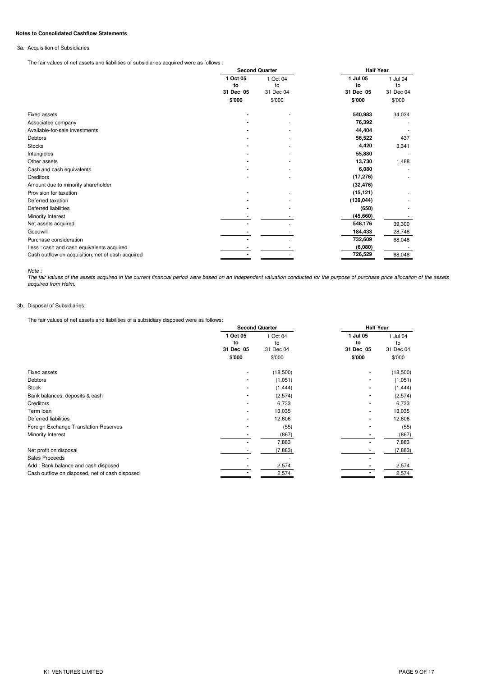### **Notes to Consolidated Cashflow Statements**

## 3a. Acquisition of Subsidiaries

The fair values of net assets and liabilities of subsidiaries acquired were as follows :

|                                                   |                | <b>Second Quarter</b> |                | <b>Half Year</b> |  |  |
|---------------------------------------------------|----------------|-----------------------|----------------|------------------|--|--|
|                                                   | 1 Oct 05<br>to | 1 Oct 04<br>to        | 1 Jul 05<br>to | 1 Jul 04<br>to   |  |  |
|                                                   | 31 Dec 05      | 31 Dec 04             | 31 Dec 05      | 31 Dec 04        |  |  |
|                                                   | \$'000         | \$'000                | \$'000         | \$'000           |  |  |
| <b>Fixed assets</b>                               |                |                       | 540,983        | 34,034           |  |  |
| Associated company                                |                |                       | 76,392         |                  |  |  |
| Available-for-sale investments                    |                |                       | 44,404         |                  |  |  |
| <b>Debtors</b>                                    |                |                       | 56,522         | 437              |  |  |
| <b>Stocks</b>                                     |                |                       | 4,420          | 3,341            |  |  |
| Intangibles                                       |                |                       | 55,880         |                  |  |  |
| Other assets                                      |                |                       | 13,730         | 1,488            |  |  |
| Cash and cash equivalents                         |                |                       | 6,080          |                  |  |  |
| Creditors                                         |                |                       | (17, 276)      |                  |  |  |
| Amount due to minority shareholder                |                |                       | (32, 476)      |                  |  |  |
| Provision for taxation                            |                |                       | (15, 121)      |                  |  |  |
| Deferred taxation                                 |                |                       | (139, 044)     |                  |  |  |
| Deferred liabilities                              |                |                       | (658)          |                  |  |  |
| Minority Interest                                 |                |                       | (45,660)       |                  |  |  |
| Net assets acquired                               |                |                       | 548,176        | 39,300           |  |  |
| Goodwill                                          |                |                       | 184,433        | 28,748           |  |  |
| Purchase consideration                            |                |                       | 732,609        | 68,048           |  |  |
| Less: cash and cash equivalents acquired          |                |                       | (6,080)        |                  |  |  |
| Cash outflow on acquisition, net of cash acquired |                |                       | 726,529        | 68,048           |  |  |

*Note :*

The fair values of the assets acquired in the current financial period were based on an independent valuation conducted for the purpose of purchase price allocation of the assets *acquired from Helm.*

## 3b. Disposal of Subsidiaries

The fair values of net assets and liabilities of a subsidiary disposed were as follows:

|                                                |                             | <b>Second Quarter</b>       |                                       | <b>Half Year</b>          |
|------------------------------------------------|-----------------------------|-----------------------------|---------------------------------------|---------------------------|
|                                                | 1 Oct 05<br>to<br>31 Dec 05 | 1 Oct 04<br>to<br>31 Dec 04 | 1 Jul 05<br>to<br>31 Dec 05<br>\$'000 | Jul 04<br>to<br>31 Dec 04 |
|                                                | \$'000                      | \$'000                      |                                       | \$'000                    |
| <b>Fixed assets</b>                            |                             | (18,500)                    |                                       | (18,500)                  |
| <b>Debtors</b>                                 |                             | (1,051)                     |                                       | (1,051)                   |
| <b>Stock</b>                                   |                             | (1, 444)                    |                                       | (1, 444)                  |
| Bank balances, deposits & cash                 |                             | (2,574)                     |                                       | (2,574)                   |
| Creditors                                      |                             | 6,733                       |                                       | 6,733                     |
| Term loan                                      |                             | 13,035                      |                                       | 13,035                    |
| Deferred liabilities                           |                             | 12,606                      |                                       | 12,606                    |
| Foreign Exchange Translation Reserves          |                             | (55)                        |                                       | (55)                      |
| Minority Interest                              |                             | (867)                       |                                       | (867)                     |
|                                                |                             | 7,883                       |                                       | 7,883                     |
| Net profit on disposal                         |                             | (7,883)                     |                                       | (7, 883)                  |
| Sales Proceeds                                 |                             |                             |                                       |                           |
| Add: Bank balance and cash disposed            |                             | 2,574                       |                                       | 2,574                     |
| Cash outflow on disposed, net of cash disposed |                             | 2,574                       |                                       | 2,574                     |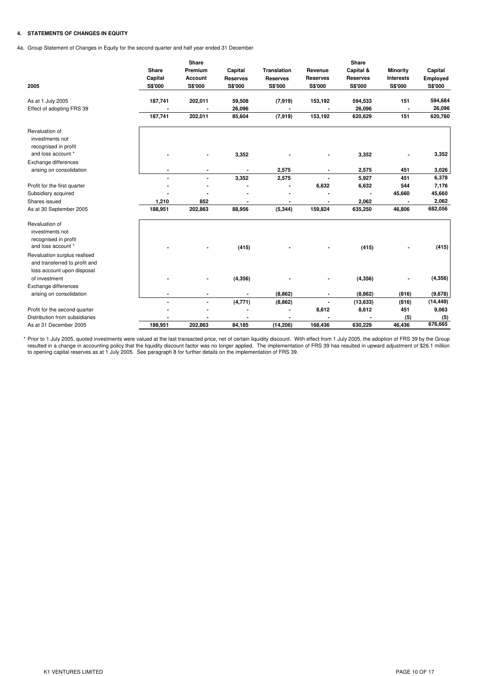### **4. STATEMENTS OF CHANGES IN EQUITY**

4a. Group Statement of Changes in Equity for the second quarter and half year ended 31 December

| 2005                                                                                        | Share<br>Capital<br><b>S\$'000</b> | Share<br>Premium<br>Account<br>S\$'000 | Capital<br><b>Reserves</b><br>S\$'000 | <b>Translation</b><br><b>Reserves</b><br>S\$'000 | Revenue<br><b>Reserves</b><br>S\$'000 | Share<br>Capital &<br><b>Reserves</b><br><b>S\$'000</b> | <b>Minority</b><br><b>Interests</b><br>S\$'000 | Capital<br>Employed<br><b>S\$'000</b> |
|---------------------------------------------------------------------------------------------|------------------------------------|----------------------------------------|---------------------------------------|--------------------------------------------------|---------------------------------------|---------------------------------------------------------|------------------------------------------------|---------------------------------------|
| As at 1 July 2005                                                                           | 187,741                            | 202,011                                | 59,508                                | (7, 919)                                         | 153,192                               | 594,533                                                 | 151                                            | 594,684                               |
| Effect of adopting FRS 39                                                                   |                                    |                                        | 26,096                                |                                                  |                                       | 26,096                                                  |                                                | 26,096                                |
|                                                                                             | 187,741                            | 202,011                                | 85,604                                | (7,919)                                          | 153,192                               | 620,629                                                 | 151                                            | 620,780                               |
| Revaluation of<br>investments not<br>recognised in profit<br>and loss account *             |                                    |                                        | 3,352                                 |                                                  |                                       | 3,352                                                   |                                                | 3,352                                 |
| Exchange differences                                                                        |                                    |                                        |                                       |                                                  |                                       |                                                         |                                                |                                       |
| arising on consolidation                                                                    |                                    |                                        |                                       | 2,575                                            |                                       | 2,575                                                   | 451                                            | 3,026                                 |
|                                                                                             | ä,                                 | $\blacksquare$                         | 3,352                                 | 2,575                                            |                                       | 5,927                                                   | 451                                            | 6,378                                 |
| Profit for the first quarter                                                                |                                    |                                        |                                       |                                                  | 6,632                                 | 6,632                                                   | 544                                            | 7,176                                 |
| Subsidiary acquired                                                                         |                                    |                                        |                                       |                                                  |                                       |                                                         | 45,660                                         | 45,660                                |
| Shares issued                                                                               | 1,210                              | 852                                    |                                       | $\blacksquare$                                   |                                       | 2,062                                                   |                                                | 2,062                                 |
| As at 30 September 2005                                                                     | 188,951                            | 202,863                                | 88,956                                | (5, 344)                                         | 159,824                               | 635,250                                                 | 46,806                                         | 682,056                               |
| Revaluation of<br>investments not<br>recognised in profit<br>and loss account *             |                                    |                                        | (415)                                 |                                                  |                                       | (415)                                                   |                                                | (415)                                 |
| Revaluation surplus realised<br>and transferred to profit and<br>loss account upon disposal |                                    |                                        |                                       |                                                  |                                       |                                                         |                                                |                                       |
| of investment                                                                               |                                    |                                        | (4, 356)                              |                                                  |                                       | (4, 356)                                                |                                                | (4, 356)                              |
| Exchange differences                                                                        |                                    |                                        |                                       |                                                  |                                       |                                                         |                                                |                                       |
| arising on consolidation                                                                    | $\blacksquare$                     | $\blacksquare$                         |                                       | (8, 862)                                         | $\blacksquare$                        | (8, 862)                                                | (816)                                          | (9,678)                               |
|                                                                                             | ä,                                 | $\blacksquare$                         | (4, 771)                              | (8, 862)                                         | $\blacksquare$                        | (13, 633)                                               | (816)                                          | (14, 449)                             |
| Profit for the second quarter                                                               |                                    |                                        |                                       | $\blacksquare$                                   | 8,612                                 | 8,612                                                   | 451                                            | 9,063                                 |
| Distribution from subsidiaries                                                              |                                    |                                        |                                       |                                                  |                                       |                                                         | (5)                                            | (5)                                   |
| As at 31 December 2005                                                                      | 188,951                            | 202,863                                | 84.185                                | (14, 206)                                        | 168,436                               | 630,229                                                 | 46,436                                         | 676,665                               |

\* Prior to 1 July 2005, quoted investments were valued at the last transacted price, net of certain liquidity discount. With effect from 1 July 2005, the adoption of FRS 39 by the Group resulted in a change in accounting policy that the liquidity discount factor was no longer applied. The implementation of FRS 39 has resulted in upward adjustment of \$26.1 million to opening capital reserves as at 1 July 2005. See paragraph 8 for further details on the implementation of FRS 39.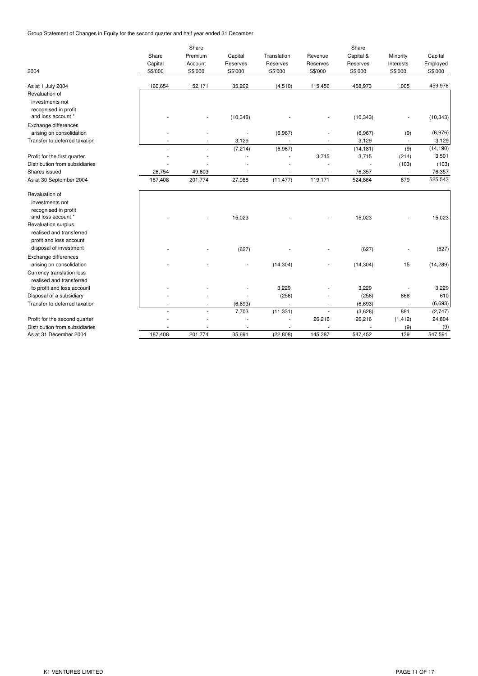Group Statement of Changes in Equity for the second quarter and half year ended 31 December

| 2004                           | Share<br>Capital<br>S\$'000 | Share<br>Premium<br>Account<br>S\$'000 | Capital<br>Reserves<br>S\$'000 | Translation<br>Reserves<br>S\$'000 | Revenue<br>Reserves<br>S\$'000 | Share<br>Capital &<br>Reserves<br>S\$'000 | Minority<br>Interests<br>S\$'000 | Capital<br>Employed<br>S\$'000 |
|--------------------------------|-----------------------------|----------------------------------------|--------------------------------|------------------------------------|--------------------------------|-------------------------------------------|----------------------------------|--------------------------------|
| As at 1 July 2004              | 160,654                     | 152,171                                | 35,202                         | (4, 510)                           | 115,456                        | 458,973                                   | 1,005                            | 459,978                        |
| Revaluation of                 |                             |                                        |                                |                                    |                                |                                           |                                  |                                |
| investments not                |                             |                                        |                                |                                    |                                |                                           |                                  |                                |
| recognised in profit           |                             |                                        |                                |                                    |                                |                                           |                                  |                                |
| and loss account *             |                             |                                        | (10, 343)                      |                                    |                                | (10, 343)                                 |                                  | (10, 343)                      |
| Exchange differences           |                             |                                        |                                |                                    |                                |                                           |                                  |                                |
| arising on consolidation       |                             |                                        |                                | (6,967)                            |                                | (6,967)                                   | (9)                              | (6,976)                        |
| Transfer to deferred taxation  |                             |                                        | 3,129                          |                                    |                                | 3,129                                     | $\overline{\phantom{a}}$         | 3,129                          |
|                                |                             |                                        | (7, 214)                       | (6,967)                            | ÷.                             | (14, 181)                                 | (9)                              | (14, 190)                      |
| Profit for the first quarter   |                             |                                        |                                |                                    | 3,715                          | 3,715                                     | (214)                            | 3,501                          |
| Distribution from subsidiaries |                             |                                        |                                |                                    |                                |                                           | (103)                            | (103)                          |
| Shares issued                  | 26,754                      | 49,603                                 |                                | $\overline{\phantom{a}}$           | $\overline{\phantom{a}}$       | 76,357                                    | $\overline{\phantom{a}}$         | 76,357                         |
| As at 30 September 2004        | 187,408                     | 201,774                                | 27,988                         | (11, 477)                          | 119,171                        | 524,864                                   | 679                              | 525,543                        |
| Revaluation of                 |                             |                                        |                                |                                    |                                |                                           |                                  |                                |
| investments not                |                             |                                        |                                |                                    |                                |                                           |                                  |                                |
| recognised in profit           |                             |                                        |                                |                                    |                                |                                           |                                  |                                |
| and loss account *             |                             |                                        | 15,023                         |                                    |                                | 15,023                                    |                                  | 15,023                         |
| Revaluation surplus            |                             |                                        |                                |                                    |                                |                                           |                                  |                                |
| realised and transferred       |                             |                                        |                                |                                    |                                |                                           |                                  |                                |
| profit and loss account        |                             |                                        |                                |                                    |                                |                                           |                                  |                                |
| disposal of investment         |                             |                                        | (627)                          |                                    |                                | (627)                                     |                                  | (627)                          |
| Exchange differences           |                             |                                        |                                |                                    |                                |                                           |                                  |                                |
| arising on consolidation       |                             |                                        |                                | (14, 304)                          |                                | (14, 304)                                 | 15                               | (14, 289)                      |
| Currency translation loss      |                             |                                        |                                |                                    |                                |                                           |                                  |                                |
| realised and transferred       |                             |                                        |                                |                                    |                                |                                           |                                  |                                |
| to profit and loss account     |                             |                                        |                                | 3,229                              |                                | 3,229                                     |                                  | 3,229                          |
| Disposal of a subsidiary       |                             |                                        |                                | (256)                              |                                | (256)                                     | 866                              | 610                            |
| Transfer to deferred taxation  |                             |                                        | (6,693)                        | ÷,                                 | $\overline{\phantom{a}}$       | (6,693)                                   | $\overline{\phantom{a}}$         | (6,693)                        |
|                                |                             |                                        | 7,703                          | (11, 331)                          | $\overline{\phantom{a}}$       | (3,628)                                   | 881                              | (2,747)                        |
| Profit for the second quarter  |                             |                                        |                                | ٠                                  | 26,216                         | 26,216                                    | (1, 412)                         | 24,804                         |
| Distribution from subsidiaries |                             |                                        |                                |                                    |                                |                                           | (9)                              | (9)                            |
| As at 31 December 2004         | 187,408                     | 201,774                                | 35,691                         | (22, 808)                          | 145,387                        | 547,452                                   | 139                              | 547,591                        |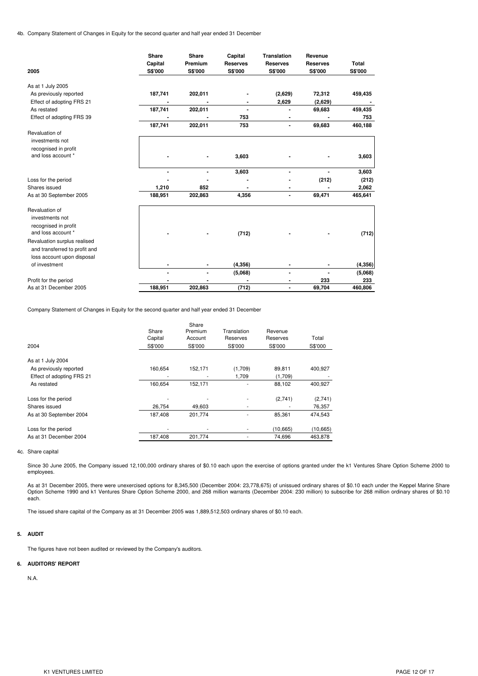4b. Company Statement of Changes in Equity for the second quarter and half year ended 31 December

| 2005                          | <b>Share</b><br>Capital<br>S\$'000 | <b>Share</b><br>Premium<br>S\$'000 | Capital<br><b>Reserves</b><br>S\$'000 | <b>Translation</b><br><b>Reserves</b><br>S\$'000 | Revenue<br><b>Reserves</b><br>S\$'000 | Total<br><b>S\$'000</b> |
|-------------------------------|------------------------------------|------------------------------------|---------------------------------------|--------------------------------------------------|---------------------------------------|-------------------------|
| As at 1 July 2005             |                                    |                                    |                                       |                                                  |                                       |                         |
| As previously reported        | 187,741                            | 202,011                            |                                       | (2,629)                                          | 72,312                                | 459,435                 |
| Effect of adopting FRS 21     |                                    |                                    |                                       | 2,629                                            | (2,629)                               |                         |
| As restated                   | 187,741                            | 202,011                            | $\blacksquare$                        |                                                  | 69,683                                | 459,435                 |
| Effect of adopting FRS 39     |                                    |                                    | 753                                   | $\blacksquare$                                   |                                       | 753                     |
|                               | 187,741                            | 202,011                            | 753                                   | $\blacksquare$                                   | 69,683                                | 460,188                 |
| Revaluation of                |                                    |                                    |                                       |                                                  |                                       |                         |
| investments not               |                                    |                                    |                                       |                                                  |                                       |                         |
| recognised in profit          |                                    |                                    |                                       |                                                  |                                       |                         |
| and loss account *            |                                    |                                    | 3,603                                 |                                                  |                                       | 3,603                   |
|                               |                                    |                                    | 3,603                                 |                                                  |                                       | 3,603                   |
| Loss for the period           |                                    |                                    |                                       |                                                  | (212)                                 | (212)                   |
| Shares issued                 | 1,210                              | 852                                | $\blacksquare$                        | ٠                                                |                                       | 2,062                   |
| As at 30 September 2005       | 188,951                            | 202,863                            | 4,356                                 | ۰                                                | 69,471                                | 465,641                 |
| Revaluation of                |                                    |                                    |                                       |                                                  |                                       |                         |
| investments not               |                                    |                                    |                                       |                                                  |                                       |                         |
| recognised in profit          |                                    |                                    |                                       |                                                  |                                       |                         |
| and loss account *            |                                    |                                    | (712)                                 |                                                  |                                       | (712)                   |
| Revaluation surplus realised  |                                    |                                    |                                       |                                                  |                                       |                         |
| and transferred to profit and |                                    |                                    |                                       |                                                  |                                       |                         |
| loss account upon disposal    |                                    |                                    |                                       |                                                  |                                       |                         |
| of investment                 |                                    |                                    | (4, 356)                              | $\blacksquare$                                   |                                       | (4, 356)                |
|                               |                                    | $\blacksquare$                     | (5,068)                               | ۰                                                |                                       | (5,068)                 |
| Profit for the period         |                                    |                                    |                                       |                                                  | 233                                   | 233                     |
| As at 31 December 2005        | 188,951                            | 202,863                            | (712)                                 |                                                  | 69,704                                | 460,806                 |

Company Statement of Changes in Equity for the second quarter and half year ended 31 December

|                           |         | Share   |             |           |           |
|---------------------------|---------|---------|-------------|-----------|-----------|
|                           | Share   | Premium | Translation | Revenue   |           |
|                           | Capital | Account | Reserves    | Reserves  | Total     |
| 2004                      | S\$'000 | S\$'000 | S\$'000     | S\$'000   | S\$'000   |
| As at 1 July 2004         |         |         |             |           |           |
| As previously reported    | 160,654 | 152,171 | (1,709)     | 89,811    | 400,927   |
| Effect of adopting FRS 21 | ٠       |         | 1,709       | (1,709)   |           |
| As restated               | 160,654 | 152.171 |             | 88,102    | 400,927   |
| Loss for the period       |         |         |             | (2,741)   | (2,741)   |
| Shares issued             | 26,754  | 49,603  | ٠           |           | 76,357    |
| As at 30 September 2004   | 187,408 | 201.774 |             | 85,361    | 474.543   |
| Loss for the period       | ٠       |         |             | (10, 665) | (10, 665) |
| As at 31 December 2004    | 187,408 | 201,774 |             | 74,696    | 463.878   |

### 4c. Share capital

Since 30 June 2005, the Company issued 12,100,000 ordinary shares of \$0.10 each upon the exercise of options granted under the k1 Ventures Share Option Scheme 2000 to employees.

As at 31 December 2005, there were unexercised options for 8,345,500 (December 2004: 23,778,675) of unissued ordinary shares of \$0.10 each under the Keppel Marine Share Option Scheme 1990 and k1 Ventures Share Option Scheme 2000, and 268 million warrants (December 2004: 230 million) to subscribe for 268 million ordinary shares of \$0.10 each.

The issued share capital of the Company as at 31 December 2005 was 1,889,512,503 ordinary shares of \$0.10 each.

### **5. AUDIT**

The figures have not been audited or reviewed by the Company's auditors.

#### **6. AUDITORS' REPORT**

N.A.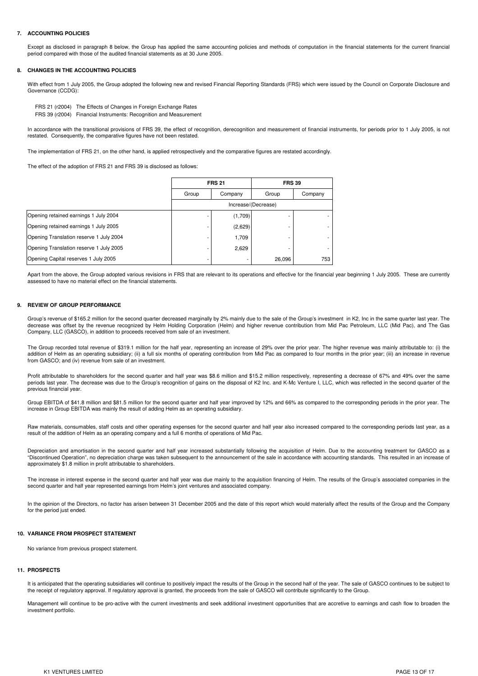#### **7. ACCOUNTING POLICIES**

Except as disclosed in paragraph 8 below, the Group has applied the same accounting policies and methods of computation in the financial statements for the current financial period compared with those of the audited financial statements as at 30 June 2005.

#### **8. CHANGES IN THE ACCOUNTING POLICIES**

With effect from 1 July 2005, the Group adopted the following new and revised Financial Reporting Standards (FRS) which were issued by the Council on Corporate Disclosure and Governance (CCDG):

FRS 39 (r2004) Financial Instruments: Recognition and Measurement FRS 21 (r2004) The Effects of Changes in Foreign Exchange Rates

In accordance with the transitional provisions of FRS 39, the effect of recognition, derecognition and measurement of financial instruments, for periods prior to 1 July 2005, is not restated. Consequently, the comparative figures have not been restated.

The implementation of FRS 21, on the other hand, is applied retrospectively and the comparative figures are restated accordingly

The effect of the adoption of FRS 21 and FRS 39 is disclosed as follows:

|                                         |       | <b>FRS 21</b>       |        | <b>FRS 39</b> |  |  |  |
|-----------------------------------------|-------|---------------------|--------|---------------|--|--|--|
|                                         | Group | Company             | Group  | Company       |  |  |  |
|                                         |       | Increase/(Decrease) |        |               |  |  |  |
| Opening retained earnings 1 July 2004   |       | (1,709)             |        |               |  |  |  |
| Opening retained earnings 1 July 2005   |       | (2,629)             |        |               |  |  |  |
| Opening Translation reserve 1 July 2004 |       | 1,709               |        |               |  |  |  |
| Opening Translation reserve 1 July 2005 |       | 2,629               |        |               |  |  |  |
| Opening Capital reserves 1 July 2005    |       |                     | 26,096 | 753           |  |  |  |

Apart from the above, the Group adopted various revisions in FRS that are relevant to its operations and effective for the financial year beginning 1 July 2005. These are currently assessed to have no material effect on the financial statements.

#### **9. REVIEW OF GROUP PERFORMANCE**

Group's revenue of \$165.2 million for the second quarter decreased marginally by 2% mainly due to the sale of the Group's investment in K2, Inc in the same quarter last year. The decrease was offset by the revenue recognized by Helm Holding Corporation (Helm) and higher revenue contribution from Mid Pac Petroleum, LLC (Mid Pac), and The Gas Company, LLC (GASCO), in addition to proceeds received from sale of an investment.

The Group recorded total revenue of \$319.1 million for the half year, representing an increase of 29% over the prior year. The higher revenue was mainly attributable to: (i) the addition of Helm as an operating subsidiary; (ii) a full six months of operating contribution from Mid Pac as compared to four months in the prior year; (iii) an increase in revenue from GASCO; and (iv) revenue from sale of an investment.

Profit attributable to shareholders for the second quarter and half year was \$8.6 million and \$15.2 million respectively, representing a decrease of 67% and 49% over the same periods last year. The decrease was due to the Group's recognition of gains on the disposal of K2 Inc. and K-Mc Venture I, LLC, which was reflected in the second quarter of the previous financial year.

Group EBITDA of \$41.8 million and \$81.5 million for the second quarter and half year improved by 12% and 66% as compared to the corresponding periods in the prior year. The increase in Group EBITDA was mainly the result of adding Helm as an operating subsidiary.

Raw materials, consumables, staff costs and other operating expenses for the second quarter and half year also increased compared to the corresponding periods last year, as a result of the addition of Helm as an operating company and a full 6 months of operations of Mid Pac.

Depreciation and amortisation in the second quarter and half year increased substantially following the acquisition of Helm. Due to the accounting treatment for GASCO as a "Discontinued Operation", no depreciation charge was taken subsequent to the announcement of the sale in accordance with accounting standards. This resulted in an increase of approximately \$1.8 million in profit attributable to shareholders.

The increase in interest expense in the second quarter and half year was due mainly to the acquisition financing of Helm. The results of the Group's associated companies in the second quarter and half year represented earnings from Helm's joint ventures and associated company.

In the opinion of the Directors, no factor has arisen between 31 December 2005 and the date of this report which would materially affect the results of the Group and the Company for the period just ended.

#### **10. VARIANCE FROM PROSPECT STATEMENT**

No variance from previous prospect statement.

#### **11. PROSPECTS**

It is anticipated that the operating subsidiaries will continue to positively impact the results of the Group in the second half of the year. The sale of GASCO continues to be subject to the receipt of regulatory approval. If regulatory approval is granted, the proceeds from the sale of GASCO will contribute significantly to the Group.

Management will continue to be pro-active with the current investments and seek additional investment opportunities that are accretive to earnings and cash flow to broaden the investment portfolio.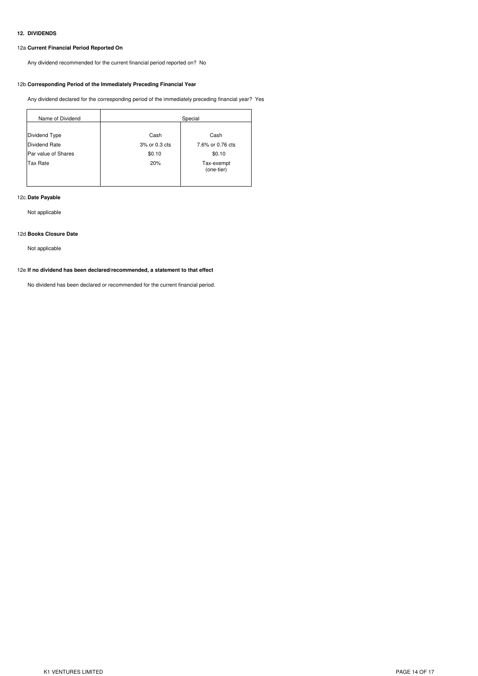### **12. DIVIDENDS**

# 12a.**Current Financial Period Reported On**

Any dividend recommended for the current financial period reported on? No

## 12b.**Corresponding Period of the Immediately Preceding Financial Year**

Any dividend declared for the corresponding period of the immediately preceding financial year? Yes

| Name of Dividend    | Special       |                          |  |  |  |
|---------------------|---------------|--------------------------|--|--|--|
|                     |               |                          |  |  |  |
| Dividend Type       | Cash          | Cash                     |  |  |  |
| Dividend Rate       | 3% or 0.3 cts | 7.6% or 0.76 cts         |  |  |  |
| Par value of Shares | \$0.10        | \$0.10                   |  |  |  |
| <b>Tax Rate</b>     | 20%           | Tax-exempt<br>(one-tier) |  |  |  |

# 12c.**Date Payable**

Not applicable

### 12d.**Books Closure Date**

Not applicable

### 12e.**If no dividend has been declared/recommended, a statement to that effect**

No dividend has been declared or recommended for the current financial period.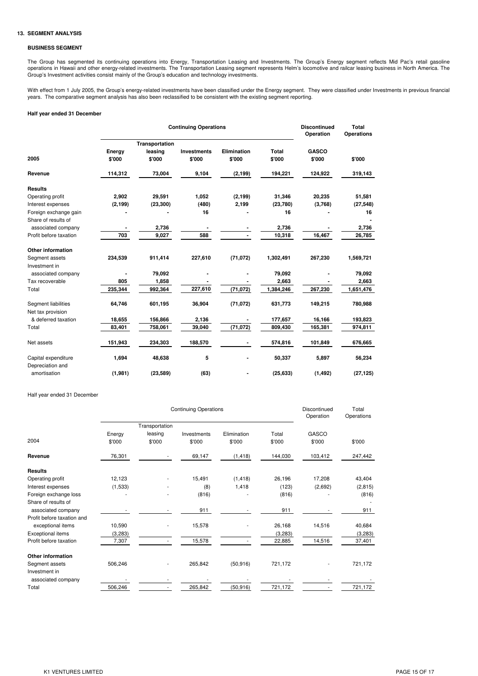### **13. SEGMENT ANALYSIS**

## **BUSINESS SEGMENT**

The Group has segmented its continuing operations into Energy, Transportation Leasing and Investments. The Group's Energy segment reflects Mid Pac's retail gasoline operations in Hawaii and other energy-related investments. The Transportation Leasing segment represents Helm's locomotive and railcar leasing business in North America. The Group's Investment activities consist mainly of the Group's education and technology investments.

With effect from 1 July 2005, the Group's energy-related investments have been classified under the Energy segment. They were classified under Investments in previous financial years. The comparative segment analysis has also been reclassified to be consistent with the existing segment reporting.

## **Half year ended 31 December**

|                                         |          | <b>Continuing Operations</b> | <b>Discontinued</b><br>Operation | <b>Total</b><br><b>Operations</b> |              |              |           |
|-----------------------------------------|----------|------------------------------|----------------------------------|-----------------------------------|--------------|--------------|-----------|
|                                         |          | Transportation               |                                  |                                   |              |              |           |
|                                         | Energy   | leasing                      | <b>Investments</b>               | Elimination                       | <b>Total</b> | <b>GASCO</b> |           |
| 2005                                    | \$'000   | \$'000                       | \$'000                           | \$'000                            | \$'000       | \$'000       | \$'000    |
| Revenue                                 | 114,312  | 73,004                       | 9,104                            | (2, 199)                          | 194,221      | 124,922      | 319,143   |
| <b>Results</b>                          |          |                              |                                  |                                   |              |              |           |
| Operating profit                        | 2,902    | 29,591                       | 1,052                            | (2, 199)                          | 31,346       | 20,235       | 51,581    |
| Interest expenses                       | (2, 199) | (23, 300)                    | (480)                            | 2,199                             | (23, 780)    | (3,768)      | (27, 548) |
| Foreign exchange gain                   |          |                              | 16                               |                                   | 16           |              | 16        |
| Share of results of                     |          |                              |                                  |                                   |              |              |           |
| associated company                      |          | 2,736                        |                                  |                                   | 2,736        |              | 2,736     |
| Profit before taxation                  | 703      | 9,027                        | 588                              |                                   | 10,318       | 16,467       | 26,785    |
| <b>Other information</b>                |          |                              |                                  |                                   |              |              |           |
| Segment assets                          | 234,539  | 911,414                      | 227,610                          | (71, 072)                         | 1,302,491    | 267,230      | 1,569,721 |
| Investment in                           |          |                              |                                  |                                   |              |              |           |
| associated company                      |          | 79,092                       |                                  |                                   | 79,092       |              | 79,092    |
| Tax recoverable                         | 805      | 1,858                        |                                  |                                   | 2,663        |              | 2,663     |
| Total                                   | 235,344  | 992,364                      | 227,610                          | (71, 072)                         | 1,384,246    | 267,230      | 1,651,476 |
| Segment liabilities                     | 64,746   | 601,195                      | 36,904                           | (71, 072)                         | 631,773      | 149,215      | 780,988   |
| Net tax provision                       |          |                              |                                  |                                   |              |              |           |
| & deferred taxation                     | 18,655   | 156,866                      | 2,136                            |                                   | 177,657      | 16,166       | 193,823   |
| Total                                   | 83,401   | 758,061                      | 39,040                           | (71, 072)                         | 809,430      | 165,381      | 974,811   |
| Net assets                              | 151,943  | 234,303                      | 188,570                          |                                   | 574,816      | 101,849      | 676,665   |
| Capital expenditure<br>Depreciation and | 1,694    | 48,638                       | 5                                |                                   | 50,337       | 5,897        | 56,234    |
| amortisation                            | (1,981)  | (23, 589)                    | (63)                             |                                   | (25, 633)    | (1, 492)     | (27, 125) |

Half year ended 31 December

|                            | <b>Continuing Operations</b><br>Transportation |         |             |             |         | Discontinued<br>Operation | Total<br>Operations |
|----------------------------|------------------------------------------------|---------|-------------|-------------|---------|---------------------------|---------------------|
|                            |                                                |         |             |             |         |                           |                     |
|                            | Energy                                         | leasing | Investments | Elimination | Total   | GASCO                     |                     |
| 2004                       | \$'000                                         | \$'000  | \$'000      | \$'000      | \$'000  | \$'000                    | \$'000              |
| Revenue                    | 76,301                                         |         | 69,147      | (1, 418)    | 144,030 | 103,412                   | 247,442             |
| <b>Results</b>             |                                                |         |             |             |         |                           |                     |
| Operating profit           | 12,123                                         |         | 15,491      | (1, 418)    | 26,196  | 17,208                    | 43,404              |
| Interest expenses          | (1,533)                                        | ٠       | (8)         | 1,418       | (123)   | (2,692)                   | (2, 815)            |
| Foreign exchange loss      |                                                |         | (816)       |             | (816)   |                           | (816)               |
| Share of results of        |                                                |         |             |             |         |                           |                     |
| associated company         |                                                |         | 911         |             | 911     |                           | 911                 |
| Profit before taxation and |                                                |         |             |             |         |                           |                     |
| exceptional items          | 10,590                                         |         | 15,578      |             | 26,168  | 14,516                    | 40,684              |
| Exceptional items          | (3,283)                                        |         |             |             | (3,283) |                           | (3, 283)            |
| Profit before taxation     | 7,307                                          |         | 15,578      |             | 22,885  | 14,516                    | 37,401              |
| Other information          |                                                |         |             |             |         |                           |                     |
| Segment assets             | 506,246                                        |         | 265,842     | (50, 916)   | 721,172 |                           | 721,172             |
| Investment in              |                                                |         |             |             |         |                           |                     |
| associated company         |                                                |         |             |             |         |                           |                     |
| Total                      | 506,246                                        |         | 265,842     | (50, 916)   | 721,172 |                           | 721,172             |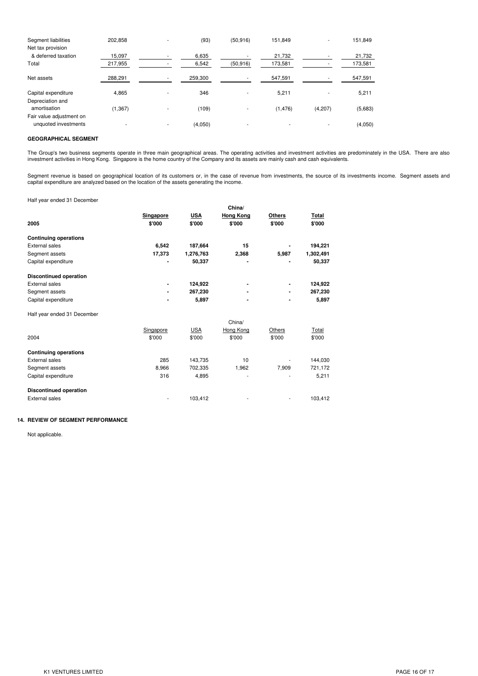| 21,732  |
|---------|
|         |
|         |
| 173,581 |
| 547,591 |
| 5,211   |
|         |
| (5,683) |
|         |
| (4,050) |
|         |

### **GEOGRAPHICAL SEGMENT**

The Group's two business segments operate in three main geographical areas. The operating activities and investment activities are predominately in the USA. There are also investment activities in Hong Kong. Singapore is the home country of the Company and its assets are mainly cash and cash equivalents.

Segment revenue is based on geographical location of its customers or, in the case of revenue from investments, the source of its investments income. Segment assets and capital expenditure are analyzed based on the location of the assets generating the income.

Half year ended 31 December

| Hall your chaca of Boochibor  |           |            |                  |        |           |
|-------------------------------|-----------|------------|------------------|--------|-----------|
|                               |           |            | China/           |        |           |
|                               | Singapore | <b>USA</b> | <b>Hong Kong</b> | Others | Total     |
| 2005                          | \$'000    | \$'000     | \$'000           | \$'000 | \$'000    |
| <b>Continuing operations</b>  |           |            |                  |        |           |
| <b>External sales</b>         | 6,542     | 187,664    | 15               |        | 194,221   |
| Segment assets                | 17,373    | 1,276,763  | 2,368            | 5,987  | 1,302,491 |
| Capital expenditure           |           | 50,337     |                  |        | 50,337    |
| <b>Discontinued operation</b> |           |            |                  |        |           |
| <b>External sales</b>         |           | 124,922    |                  | ۰      | 124,922   |
| Segment assets                |           | 267,230    |                  |        | 267,230   |
| Capital expenditure           |           | 5,897      |                  |        | 5,897     |
| Half year ended 31 December   |           |            |                  |        |           |
|                               |           |            | China/           |        |           |
|                               | Singapore | <b>USA</b> | Hong Kong        | Others | Total     |
| 2004                          | \$'000    | \$'000     | \$'000           | \$'000 | \$'000    |
| <b>Continuing operations</b>  |           |            |                  |        |           |
| <b>External sales</b>         | 285       | 143,735    | 10               |        | 144,030   |
| Segment assets                | 8,966     | 702,335    | 1,962            | 7,909  | 721,172   |
| Capital expenditure           | 316       | 4,895      |                  |        | 5,211     |
| <b>Discontinued operation</b> |           |            |                  |        |           |
| <b>External sales</b>         |           | 103,412    |                  |        | 103,412   |

## **14. REVIEW OF SEGMENT PERFORMANCE**

Not applicable.